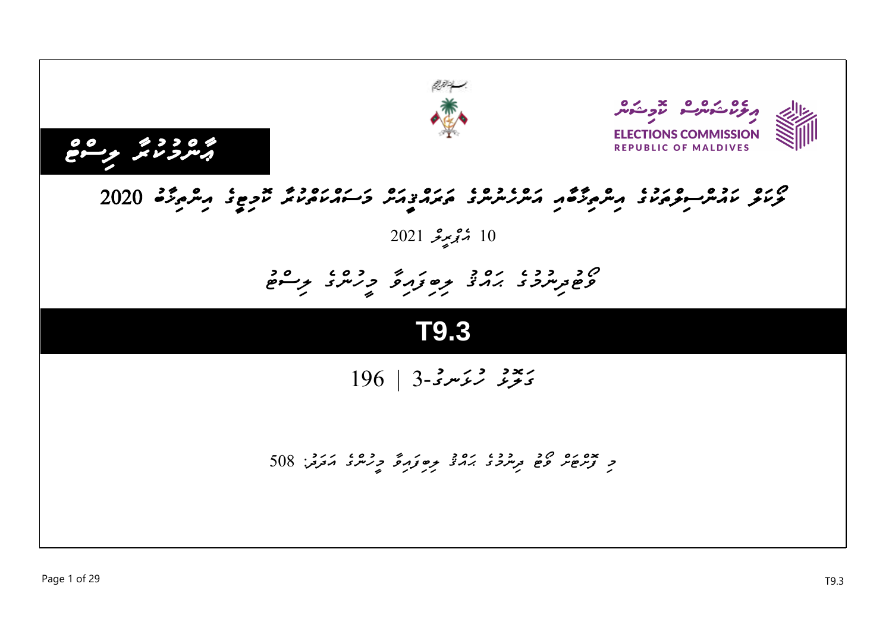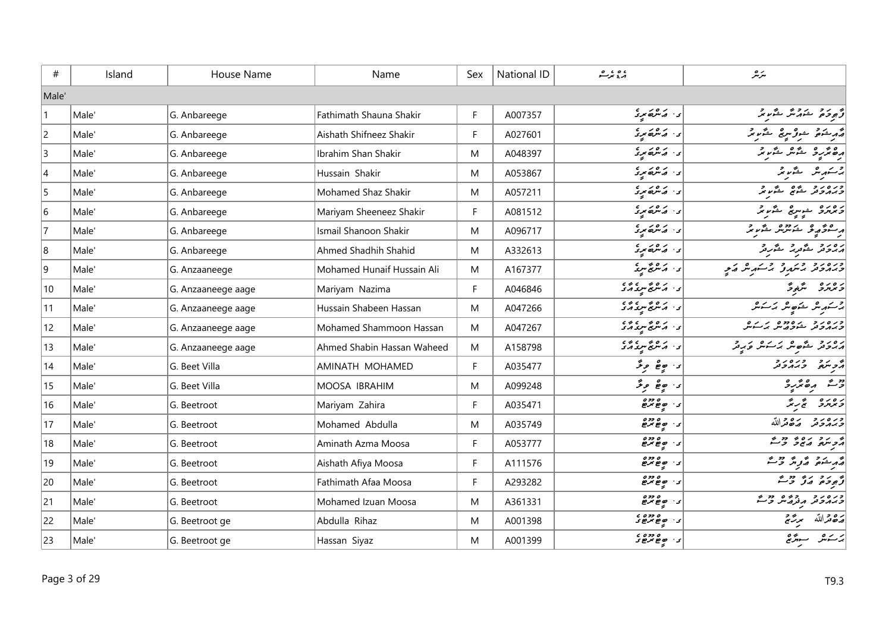| #              | Island | House Name         | Name                       | Sex       | National ID | ، ه ، بر <u>م</u>                                                                                                                                                                                                               | ىئرىتر                          |
|----------------|--------|--------------------|----------------------------|-----------|-------------|---------------------------------------------------------------------------------------------------------------------------------------------------------------------------------------------------------------------------------|---------------------------------|
| Male'          |        |                    |                            |           |             |                                                                                                                                                                                                                                 |                                 |
|                | Male'  | G. Anbareege       | Fathimath Shauna Shakir    | F         | A007357     | ی که شرکته مور                                                                                                                                                                                                                  | ۇي ئەق شەرقىگە شەرىر            |
| $ 2\rangle$    | Male'  | G. Anbareege       | Aishath Shifneez Shakir    | F         | A027601     | ى ئەشھىرى                                                                                                                                                                                                                       | ۇرمىقق ھورىپى ھەر               |
| $\vert$ 3      | Male'  | G. Anbareege       | Ibrahim Shan Shakir        | ${\sf M}$ | A048397     | ی که شهره مرد                                                                                                                                                                                                                   | رە ئرىر ئىشكى ئىگىرىنى          |
| $\overline{4}$ | Male'  | G. Anbareege       | Hussain Shakir             | M         | A053867     | ی که شهری                                                                                                                                                                                                                       | برسكور مثر المحر بر             |
| $\overline{5}$ | Male'  | G. Anbareege       | Mohamed Shaz Shakir        | M         | A057211     | ر<br>د که شهری                                                                                                                                                                                                                  | ورەرو ئۇچ ئۇرىر                 |
| $\overline{6}$ | Male'  | G. Anbareege       | Mariyam Sheeneez Shakir    | F         | A081512     | ی که شهری                                                                                                                                                                                                                       | كالمركز فيسرها الشرير           |
| 7              | Male'  | G. Anbareege       | Ismail Shanoon Shakir      | ${\sf M}$ | A096717     | ی که شهره مرد                                                                                                                                                                                                                   | ر قادىم ئۇ ھەسىر سىر ھەر بىر    |
| 8              | Male'  | G. Anbareege       | Ahmed Shadhih Shahid       | M         | A332613     | ى ئەشھىرى                                                                                                                                                                                                                       | رەر ئ <sub>ە</sub> ئۇنزلى ئەرىر |
| 9              | Male'  | G. Anzaaneege      | Mohamed Hunaif Hussain Ali | M         | A167377     | ى ئەشتۇسىدى                                                                                                                                                                                                                     | ورەرو چىرو چىكرىگە كەنچ         |
| 10             | Male'  | G. Anzaaneege aage | Mariyam Nazima             | F         | A046846     | ى ئەشتۇسىدە ئ                                                                                                                                                                                                                   | رەرە شەۋ                        |
| 11             | Male'  | G. Anzaaneege aage | Hussain Shabeen Hassan     | ${\sf M}$ | A047266     | ى ئەسرىم سرىم بول                                                                                                                                                                                                               | بركتهريكل كقوم بركتكل           |
| 12             | Male'  | G. Anzaaneege aage | Mohamed Shammoon Hassan    | ${\sf M}$ | A047267     | ر مرکز ته سره در در در در در ایران در ایران در ایران در ایران در ایران در ایران در ایران در ایران در ایران در<br>مرکز در ایران در ایران در ایران در ایران در ایران در ایران در ایران در ایران در ایران در ایران در ایران در ایر | ورەرو رەھەر رىرە                |
| 13             | Male'  | G. Anzaaneege aage | Ahmed Shabin Hassan Waheed | M         | A158798     | ى ئەشتە سىمدى<br>ئ                                                                                                                                                                                                              | ەرەرە ئۇھەر ئەسەر كەبل          |
| 14             | Male'  | G. Beet Villa      | AMINATH MOHAMED            | F         | A035477     | ء ہ ھو موگ                                                                                                                                                                                                                      | أثر شرة المحدد وردا             |
| 15             | Male'  | G. Beet Villa      | MOOSA IBRAHIM              | ${\sf M}$ | A099248     | ى ھەھ مەم                                                                                                                                                                                                                       | دیم رەپرىرو                     |
| 16             | Male'  | G. Beetroot        | Mariyam Zahira             | F         | A035471     | $e^{37}e^{67}$                                                                                                                                                                                                                  | رەرە پەر                        |
| 17             | Male'  | G. Beetroot        | Mohamed Abdulla            | M         | A035749     | $e^{37}e^{6}$                                                                                                                                                                                                                   | وره رو ده دالله                 |
| 18             | Male'  | G. Beetroot        | Aminath Azma Moosa         | F         | A053777     | $e^{37}e^{6}$                                                                                                                                                                                                                   |                                 |
| 19             | Male'  | G. Beetroot        | Aishath Afiya Moosa        | F         | A111576     | $e^{37}e^{6}$                                                                                                                                                                                                                   | وأرجني وأرائر وحمك              |
| 20             | Male'  | G. Beetroot        | Fathimath Afaa Moosa       | F         | A293282     | <sup>ם</sup> קוספיקים<br>צ' קוספיזקים                                                                                                                                                                                           | و ده دو دو ح                    |
| 21             | Male'  | G. Beetroot        | Mohamed Izuan Moosa        | M         | A361331     | צ∙ פֶּפּ <sup>י</sup> נפ                                                                                                                                                                                                        | وره رو دوه دورو                 |
| 22             | Male'  | G. Beetroot ge     | Abdulla Rihaz              | M         | A001398     | י פיפיש<br>צי פי                                                                                                                                                                                                                | مَدْهُ قَدْ اللّهُ مَدَرَّجْ    |
| 23             | Male'  | G. Beetroot ge     | Hassan Siyaz               | M         | A001399     | ם מספים<br>גיי קס משיב                                                                                                                                                                                                          | برسەش سەرتى                     |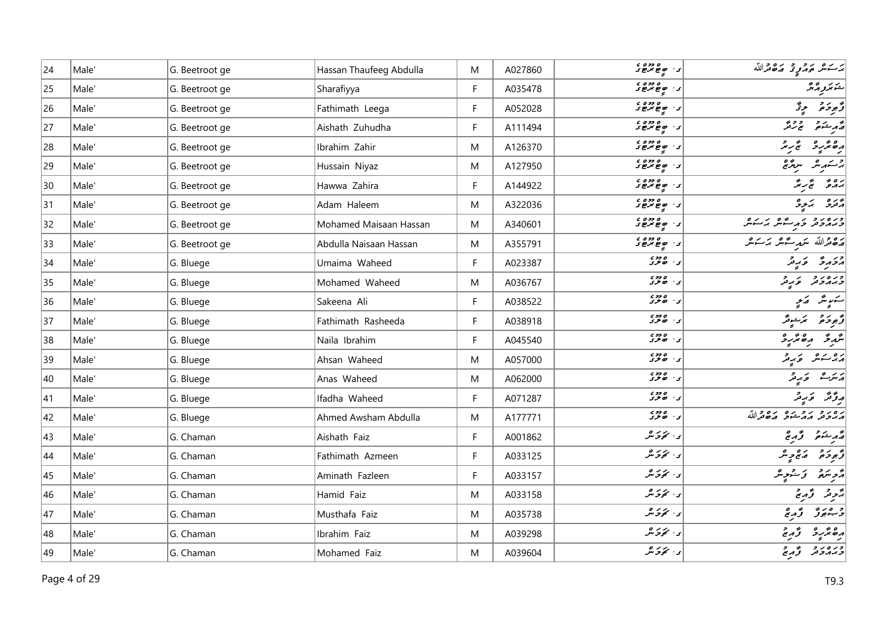| 24 | Male' | G. Beetroot ge | Hassan Thaufeeg Abdulla | M         | A027860 | په موجوده پ                   | بر محمد محمد الله محمد الله   |
|----|-------|----------------|-------------------------|-----------|---------|-------------------------------|-------------------------------|
| 25 | Male' | G. Beetroot ge | Sharafiyya              | F         | A035478 | ه ده ده ده<br>د ۱ ده هم ج     | شەئىر <i>و</i> رۇر            |
| 26 | Male' | G. Beetroot ge | Fathimath Leega         | F         | A052028 | $\frac{1}{2}$ $\frac{1}{2}$   | ومجوده ويج                    |
| 27 | Male' | G. Beetroot ge | Aishath Zuhudha         | F         | A111494 | ه دوه ده<br>د ۱ مه هم جوړ     |                               |
| 28 | Male' | G. Beetroot ge | Ibrahim Zahir           | M         | A126370 | י פיפיש<br>צי פי              | وەتئەر ئەرىئە                 |
| 29 | Male' | G. Beetroot ge | Hussain Niyaz           | M         | A127950 | ه ده ده ده<br>د ۱ هغ مرجو د   | يز سكر مثل المريد من المراجع  |
| 30 | Male' | G. Beetroot ge | Hawwa Zahira            | F         | A144922 | ם מספים<br>גי קספית פיב       | رەپ ئېرىتى                    |
| 31 | Male' | G. Beetroot ge | Adam Haleem             | ${\sf M}$ | A322036 | $\frac{1}{2}$                 | أأروه أتروده                  |
| 32 | Male' | G. Beetroot ge | Mohamed Maisaan Hassan  | M         | A340601 | په موجوده پ                   | ورەرو رىرگەر ئەسەر            |
| 33 | Male' | G. Beetroot ge | Abdulla Naisaan Hassan  | M         | A355791 | ono<br>د مهم مرحود            | رەدللە سَمەسَّىر ئەسەر        |
| 34 | Male' | G. Bluege      | Umaima Waheed           | F         | A023387 | ه دون<br>د ه مخړ              | ور و ورد                      |
| 35 | Male' | G. Bluege      | Mohamed Waheed          | ${\sf M}$ | A036767 | ه دوه و<br>د ۱ ه مخری         | ورەرو كەيتر                   |
| 36 | Male' | G. Bluege      | Sakeena Ali             | F         | A038522 | ه دون<br>د ه مخړ              | سەرپە ئەيجە                   |
| 37 | Male' | G. Bluege      | Fathimath Rasheeda      | F         | A038918 | ه دوه<br>د ۰ ه <del>و</del> ر | أوالمح وكالمحتب والمحر والمحر |
| 38 | Male' | G. Bluege      | Naila Ibrahim           | F         | A045540 | ه دون<br>د ه ود               | شرقر رەمزر                    |
| 39 | Male' | G. Bluege      | Ahsan Waheed            | M         | A057000 | ه دون<br>د ه مخړ              | ره د عرص می در د              |
| 40 | Male' | G. Bluege      | Anas Waheed             | M         | A062000 | ه دون<br>د ه مخړ              | أركرك وريتر                   |
| 41 | Male' | G. Bluege      | Ifadha Waheed           | F.        | A071287 | ه دوه<br>د ۰ ه <del>و</del> ر | مِرْدَّشْ كَرَبِيْر           |
| 42 | Male' | G. Bluege      | Ahmed Awsham Abdulla    | M         | A177771 | ه دون<br>د ه مخر              | رەرو رودە رەورالله            |
| 43 | Male' | G. Chaman      | Aishath Faiz            | F         | A001862 | ى بە كۆڭر                     | أمار مشام ومرامح              |
| 44 | Male' | G. Chaman      | Fathimath Azmeen        | F         | A033125 | ى بىم ئەكتىر                  | توجدة وكالحيائه               |
| 45 | Male' | G. Chaman      | Aminath Fazleen         | F.        | A033157 | ى بىم ئەكەنگە                 | أدويتم وكالموش                |
| 46 | Male' | G. Chaman      | Hamid Faiz              | M         | A033158 | ى بىم ئەڭرىش                  | أثروند أؤربني                 |
| 47 | Male' | G. Chaman      | Musthafa Faiz           | M         | A035738 | ى بىم ئەڭرىش                  | د مەر د<br>تر مر مح           |
| 48 | Male' | G. Chaman      | Ibrahim Faiz            | M         | A039298 | ى بىم ئەڭر                    | دەنمەر د<br>تر مرج            |
| 49 | Male' | G. Chaman      | Mohamed Faiz            | M         | A039604 | ى بىم ئەكتىر                  |                               |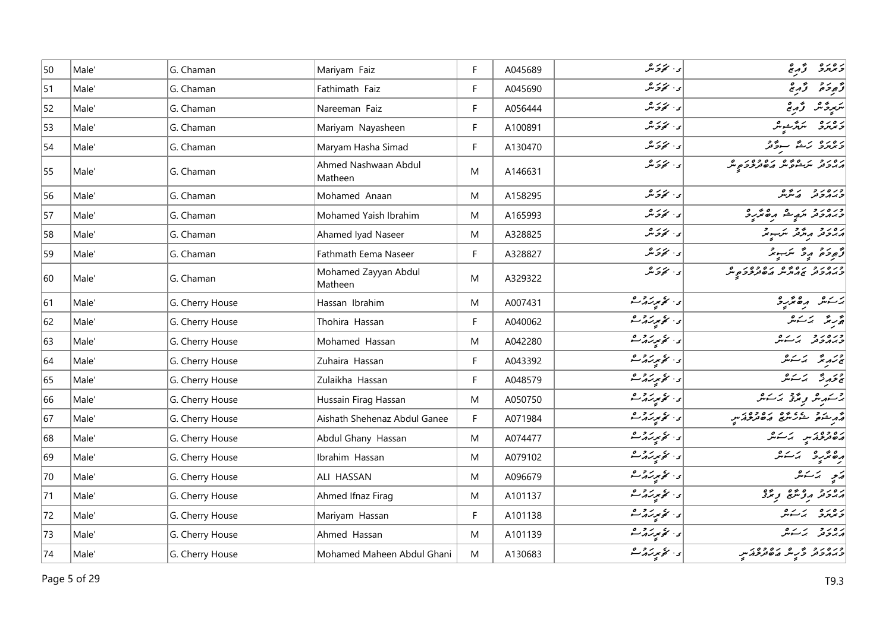| 50 | Male' | G. Chaman       | Mariyam Faiz                    | F           | A045689 | ى بىم ئەڭرىش                            | ر ه ر ه<br>تر مر مح                                                          |
|----|-------|-----------------|---------------------------------|-------------|---------|-----------------------------------------|------------------------------------------------------------------------------|
| 51 | Male' | G. Chaman       | Fathimath Faiz                  | F           | A045690 | ى بىم ئەرگىر                            | و مرد د<br>تر مر مح                                                          |
| 52 | Male' | G. Chaman       | Nareeman Faiz                   | F           | A056444 | ى بىم ئەڭرىش                            | ىئرىرۇ تىر<br>ترمرج                                                          |
| 53 | Male' | G. Chaman       | Mariyam Nayasheen               | $\mathsf F$ | A100891 | ى ئىم ئەرگىر                            | رەرە شۇھىر                                                                   |
| 54 | Male' | G. Chaman       | Maryam Hasha Simad              | F           | A130470 | ى ئىم ئەرگە                             | ر ٥ ر ٥ ر ٠٠٠<br>وبوبرو رئٹ سوونر                                            |
| 55 | Male' | G. Chaman       | Ahmed Nashwaan Abdul<br>Matheen | M           | A146631 | ى بىم كۈچىگە                            | ره رو در ۵۶۵ رووور و<br>م.پروتر س شوه سر ه ۱۵۶۵ هر                           |
| 56 | Male' | G. Chaman       | Mohamed Anaan                   | M           | A158295 | ى بىم كەرگە                             | ورەرو رور                                                                    |
| 57 | Male' | G. Chaman       | Mohamed Yaish Ibrahim           | M           | A165993 | ى ئىم ئەرگە                             | כמחכנת תקבית תפיתים                                                          |
| 58 | Male' | G. Chaman       | Ahamed Iyad Naseer              | M           | A328825 | ى ئەڭ ھە                                | גפגב גדבר ותהי                                                               |
| 59 | Male' | G. Chaman       | Fathmath Eema Naseer            | F           | A328827 | ، ئۇچ <sup>ى</sup> ر                    | و و ده اړو او او د                                                           |
| 60 | Male' | G. Chaman       | Mohamed Zayyan Abdul<br>Matheen | M           | A329322 | ى بىم ئەكتىر                            | כנסנכ נסטס נסכסנים<br>במהכת אהתית הסתיבכתית                                  |
| 61 | Male' | G. Cherry House | Hassan Ibrahim                  | M           | A007431 | <sub>ى</sub> ، ئۇمېرىرتە <sup>م</sup> ە | بر کشش مره مرکز                                                              |
| 62 | Male' | G. Cherry House | Thohira Hassan                  | F           | A040062 | ى ، ئۇمېرى <i>ز</i> ۇر ھ                | ۇرىز بەسكىر                                                                  |
| 63 | Male' | G. Cherry House | Mohamed Hassan                  | M           | A042280 | ى ، ئۇمېرىزۇرگ                          | ورەرو پەسكىر                                                                 |
| 64 | Male' | G. Cherry House | Zuhaira Hassan                  | F           | A043392 | ى ، ئۇمېرىر تە <sup>م</sup>             | تحكيريم الكاشكر                                                              |
| 65 | Male' | G. Cherry House | Zulaikha Hassan                 | F           | A048579 | ، ئۇمېر <i>ىز</i> ۇر شە                 | ج تحمدِ تَرْ سَمَسٌ                                                          |
| 66 | Male' | G. Cherry House | Hussain Firag Hassan            | M           | A050750 | ئ گۇموپرىدىش                            | برسكر مثر و مرتج برسكس                                                       |
| 67 | Male' | G. Cherry House | Aishath Shehenaz Abdul Ganee    | F           | A071984 | ئ گۇموپرىدىش                            | و در در در در در در در در در میل کنید.<br>در مشوی مشور شور شرح در مورد در در |
| 68 | Male' | G. Cherry House | Abdul Ghany Hassan              | M           | A074477 | <sub>ى گ</sub> ۇمەرىر قەت               | رەدەرسە ئەسكىر                                                               |
| 69 | Male' | G. Cherry House | Ibrahim Hassan                  | M           | A079102 | ، ئۇمېر <i>ىز</i> ۇر <u>م</u>           | وەترىرو يەك                                                                  |
| 70 | Male' | G. Cherry House | ALI HASSAN                      | M           | A096679 | ى ، ئۇمېرى <i>ز</i> ۇرگ                 | ەكىر ئەسكەنگر                                                                |
| 71 | Male' | G. Cherry House | Ahmed Ifnaz Firaq               | M           | A101137 | ى ، ئۇمېرىر تە <sup>م</sup>             | برورد روشى ويژو                                                              |
| 72 | Male' | G. Cherry House | Mariyam Hassan                  | F           | A101138 | ، ئۇمېر <i>ىز</i> ۇرشە                  | دەرە برىك                                                                    |
| 73 | Male' | G. Cherry House | Ahmed Hassan                    | M           | A101139 | ، ئۇمېر <i>ىز</i> ۇرشە                  | رەرد برخش                                                                    |
| 74 | Male' | G. Cherry House | Mohamed Maheen Abdul Ghani      | M           | A130683 | ، ئۇمېر <i>ىز</i> ۇر شە                 | وره رو و ده ره وه در                                                         |
|    |       |                 |                                 |             |         |                                         |                                                                              |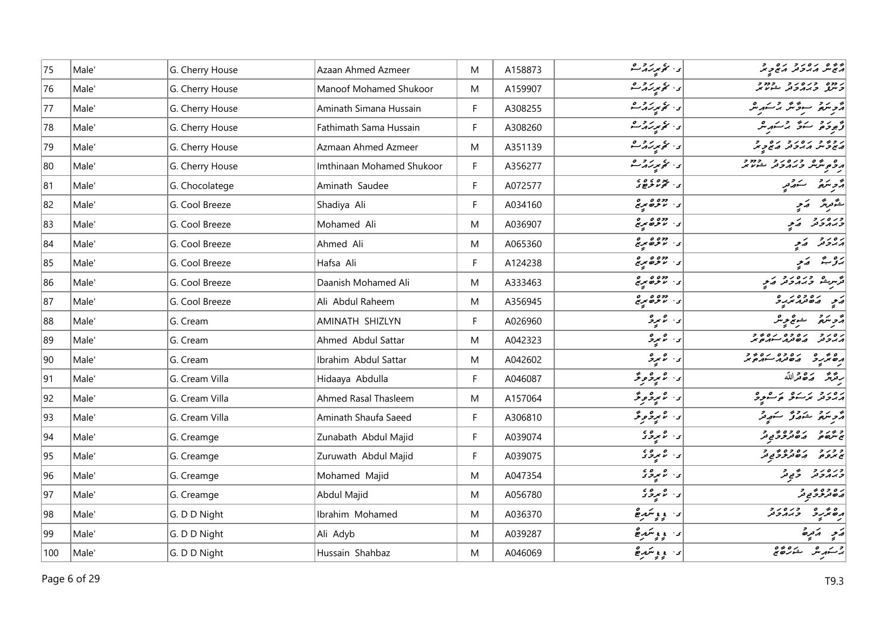| 75  | Male' | G. Cherry House | Azaan Ahmed Azmeer        | ${\sf M}$ | A158873 | <sub>ى</sub> ، ئۇمېرىرتە <sup>م</sup> ە                                         | و و ده د د د و د و د                                    |
|-----|-------|-----------------|---------------------------|-----------|---------|---------------------------------------------------------------------------------|---------------------------------------------------------|
| 76  | Male' | G. Cherry House | Manoof Mohamed Shukoor    | ${\sf M}$ | A159907 | <sub>ى</sub> ، ئۇمېرىرتە <sup>م</sup> ە                                         | נ דרס כנסני כדרכי<br>קייטן קמתקט שיטית                  |
| 77  | Male' | G. Cherry House | Aminath Simana Hussain    | F         | A308255 | <sub>ى</sub> ، ئۇمېرىرىمى <sup>م</sup>                                          | ۇ ئەستىم سوۋىگە جاسكىرىك                                |
| 78  | Male' | G. Cherry House | Fathimath Sama Hussain    | F         | A308260 | <sub>ى</sub> ، ئۇ بېرىرت <sub>ە</sub> م                                         | و معروف دی بر مشر می                                    |
| 79  | Male' | G. Cherry House | Azmaan Ahmed Azmeer       | M         | A351139 | <sub>ی</sub> گوپریروم                                                           | ה כמיכי המיכים בית.<br>המיכית ההכתי המיכית              |
| 80  | Male' | G. Cherry House | Imthinaan Mohamed Shukoor | F         | A356277 | ى ، ئۇمېر <i>ىز</i> ە ئەشە                                                      | ه مهم دره در ددد و<br>پروم شهر وبربروتر شود بر          |
| 81  | Male' | G. Chocolatege  | Aminath Saudee            | F         | A072577 | $\begin{array}{c} c \circ c \circ \times \\ s \circ c \circ \times \end{array}$ | أأرمز المتفرقين                                         |
| 82  | Male' | G. Cool Breeze  | Shadiya Ali               | F         | A034160 | د دوه ده.<br>د ۲۶ وه مړي                                                        | ڪورگر گرم                                               |
| 83  | Male' | G. Cool Breeze  | Mohamed Ali               | ${\sf M}$ | A036907 |                                                                                 | و ره ر د<br>د بر د تر                                   |
| 84  | Male' | G. Cool Breeze  | Ahmed Ali                 | M         | A065360 |                                                                                 | بر ه بر و<br>م.پر <del>د</del> تر                       |
| 85  | Male' | G. Cool Breeze  | Hafsa Ali                 | F         | A124238 | ی دوه مربح                                                                      | بروية المالمي                                           |
| 86  | Male' | G. Cool Breeze  | Daanish Mohamed Ali       | M         | A333463 | د ۱۵۵۶۶ و.<br>د الملوه مړين                                                     | تگرس و ده د و د                                         |
| 87  | Male' | G. Cool Breeze  | Ali Abdul Raheem          | ${\sf M}$ | A356945 | د ۱۵۵۶۶ و.<br>د المتوه مړينې                                                    | ג'ב גם כסביב                                            |
| 88  | Male' | G. Cream        | AMINATH SHIZLYN           | F         | A026960 | ى ، ئامېرى<br>ئ                                                                 | أقرحتم والموقوعة                                        |
| 89  | Male' | G. Cream        | Ahmed Abdul Sattar        | ${\sf M}$ | A042323 | ی ، م <sup>ر</sup> م برد<br>د                                                   | ره وه رره د و<br>پره توپر شهره تر<br>ر ەر د<br>م.رۇ تىر |
| 90  | Male' | G. Cream        | Ibrahim Abdul Sattar      | M         | A042602 | ى ، ئاموۋ                                                                       | 04010201020101                                          |
| 91  | Male' | G. Cream Villa  | Hidaaya Abdulla           | F         | A046087 | ى ، ئامېرۋەپۇ                                                                   | رئيم رەقراللە                                           |
| 92  | Male' | G. Cream Villa  | Ahmed Rasal Thasleem      | M         | A157064 | ى ، ئامېرۋەپۇ                                                                   | رەر دېرىدە بەلەرە                                       |
| 93  | Male' | G. Cream Villa  | Aminath Shaufa Saeed      | F         | A306810 | ى ، ئامېردگورگ                                                                  | أأروسهم الشروع الشرور                                   |
| 94  | Male' | G. Creamge      | Zunabath Abdul Majid      | F         | A039074 | ی گوری<br>ی گوری                                                                | د ۱۶ در ۲۵۶۵۶ و.<br>مخترجه بر محمد ترکوک تر             |
| 95  | Male' | G. Creamge      | Zuruwath Abdul Majid      | F         | A039075 | ی میگروی<br>مسیح                                                                | و ور و در ره وه و و د<br>مح مروم در امام مرکز گرفتر     |
| 96  | Male' | G. Creamge      | Mohamed Majid             | ${\sf M}$ | A047354 | ی گوری<br>ی گوری                                                                | ورەر د ئور                                              |
| 97  | Male' | G. Creamge      | Abdul Majid               | ${\sf M}$ | A056780 | ی٠۵ موری<br>ی۰۶ موری                                                            | ر ە د ە ئەر<br>مەھەر ئىز قى                             |
| 98  | Male' | G. D D Night    | Ibrahim Mohamed           | ${\sf M}$ | A036370 | 2.7.2.3                                                                         | ە ھېڭرىرى<br>رەھىرىرى<br>و ره ر و<br><i>د ب</i> رگرفر   |
| 99  | Male' | G. D D Night    | Ali Adyb                  | M         | A039287 | ى پې پې شمېر قع                                                                 | أتذمت أتربية                                            |
| 100 | Male' | G. D D Night    | Hussain Shahbaz           | ${\sf M}$ | A046069 | $rac{1}{2}$                                                                     | ج کے مرکز شورے میں ج                                    |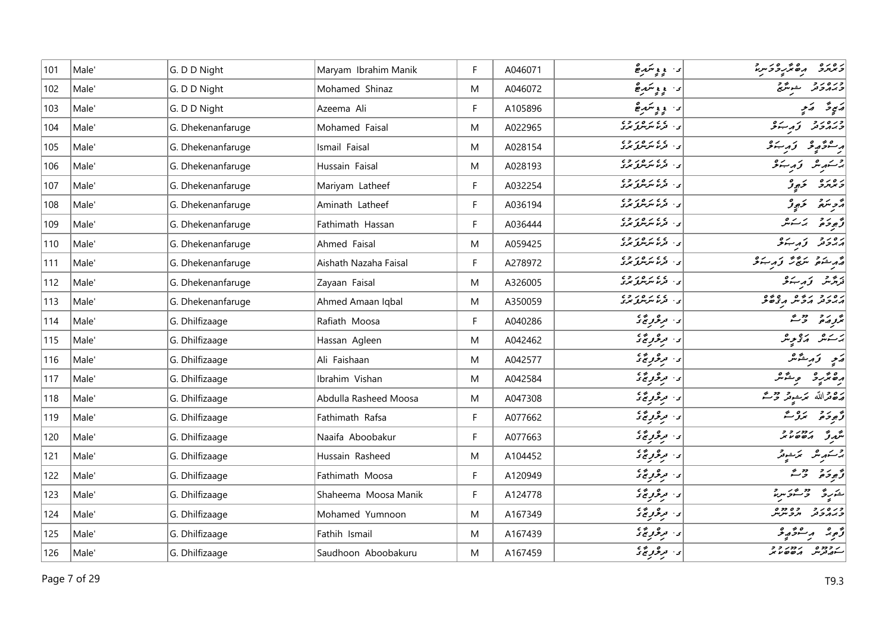| 101 | Male' | G. D D Night      | Maryam Ibrahim Manik  | F  | A046071 | ى پېچىتموقى                                  | ومرده مصرور ومرد                                           |
|-----|-------|-------------------|-----------------------|----|---------|----------------------------------------------|------------------------------------------------------------|
| 102 | Male' | G. D D Night      | Mohamed Shinaz        | M  | A046072 | ى پېچ شمېر قع                                | و ره ر د<br>  <del>ر</del> بر رتر<br>شەمگەنچ               |
| 103 | Male' | G. D D Night      | Azeema Ali            | F. | A105896 | 2.25                                         | أرتبي فلتحجج أوكتمني                                       |
| 104 | Male' | G. Dhekenanfaruge | Mohamed Faisal        | M  | A022965 |                                              | ورەرو ۋەبىكى                                               |
| 105 | Male' | G. Dhekenanfaruge | Ismail Faisal         | M  | A028154 | ی ، بی شریع دی.<br>ب - فرنگ سرسرتی موبی      | راعۇرپۇ ئەسكۇ                                              |
| 106 | Male' | G. Dhekenanfaruge | Hussain Faisal        | M  | A028193 | ے بے بربرد ہے<br>یہ مقر <i>ما متربلوچ</i> ری | برسكهاش أورجينى                                            |
| 107 | Male' | G. Dhekenanfaruge | Mariyam Latheef       | F  | A032254 | ے بے بربارے و ے<br>ب- فرما سرسرتی موبی       | دەرە كەر                                                   |
| 108 | Male' | G. Dhekenanfaruge | Aminath Latheef       | F  | A036194 | ے بے بربرد ہے<br>یہ مقر <i>ما متربلوچ</i> ری | أزوينهم كالجوثر                                            |
| 109 | Male' | G. Dhekenanfaruge | Fathimath Hassan      | F  | A036444 | ، نام شریف و ،<br>د افراد شریفی مرد          | توجدة الماسكس                                              |
| 110 | Male' | G. Dhekenanfaruge | Ahmed Faisal          | M  | A059425 | ه د و د و د و د<br>د ۰ فرما مگرسی بود        | أرەر وربىر                                                 |
| 111 | Male' | G. Dhekenanfaruge | Aishath Nazaha Faisal | F. | A278972 | ، در تاریخ ده در در د                        | لأرخنى سكاك ورجلو                                          |
| 112 | Male' | G. Dhekenanfaruge | Zayaan Faisal         | M  | A326005 | ، می با شهر بر و ،<br>د ۱ فرما مگر بگر محری  | ترترش تصبحو                                                |
| 113 | Male' | G. Dhekenanfaruge | Ahmed Amaan Iqbal     | M  | A350059 | ، په کارور و،<br>د افراد سرس و،              | גם גד גדים, הסיים                                          |
| 114 | Male' | G. Dhilfizaage    | Rafiath Moosa         | F  | A040286 | ى بورۇرىجى<br>سىمبرىرى                       | بروړنو د ح                                                 |
| 115 | Male' | G. Dhilfizaage    | Hassan Agleen         | M  | A042462 | ى بورۇرىجى<br>سىمبرىرى                       | يركبش المؤلوش                                              |
| 116 | Male' | G. Dhilfizaage    | Ali Faishaan          | M  | A042577 | ر· مرگورنج دُ                                | أوسمج وكرستماش                                             |
| 117 | Male' | G. Dhilfizaage    | Ibrahim Vishan        | M  | A042584 | ى سورگۇرىچ ئى                                | رەنزىر <sub>ئوش</sub> تر                                   |
| 118 | Male' | G. Dhilfizaage    | Abdulla Rasheed Moosa | M  | A047308 | ى سوپۇرىجى<br>ئ                              | أرَهْ مَدْاللّه مَدَّشِيقَ فَرْتُ                          |
| 119 | Male' | G. Dhilfizaage    | Fathimath Rafsa       | F  | A077662 | ر٠ تېرتخونج <sup>ک</sup>                     | أوجوحهم بتزويم                                             |
| 120 | Male' | G. Dhilfizaage    | Naaifa Aboobakur      | F  | A077663 | ر· مرگوريج د                                 | 22/22/2                                                    |
| 121 | Male' | G. Dhilfizaage    | Hussain Rasheed       | M  | A104452 | ر· مرگوريجءَ                                 | چرىسىم ئىر ئىر ئىر ئىر ئىر                                 |
| 122 | Male' | G. Dhilfizaage    | Fathimath Moosa       | F  | A120949 | ر· مرگوريجءَ<br>سرگوريج                      | ژُودَه دَ "                                                |
| 123 | Male' | G. Dhilfizaage    | Shaheema Moosa Manik  | F  | A124778 | ر٠ تېرتخونج <sup>ک</sup>                     | لمشرق ومشوره                                               |
| 124 | Male' | G. Dhilfizaage    | Mohamed Yumnoon       | M  | A167349 | ى سورتۇرىجى<br>سىرلىقى                       | כנסנכ כסמם<br><i>כג</i> ונכנ <sub>י</sub> ו <i>נכ</i> ייטי |
| 125 | Male' | G. Dhilfizaage    | Fathih Ismail         | M  | A167439 | ى سرورىچ                                     | ەرسىۋەپەيج<br>ۇموبر                                        |
| 126 | Male' | G. Dhilfizaage    | Saudhoon Aboobakuru   | M  | A167459 | ء <sub>`</sub> مرثوريج دُ                    | ק כמים המיקים בי<br>התבנות המיסידות                        |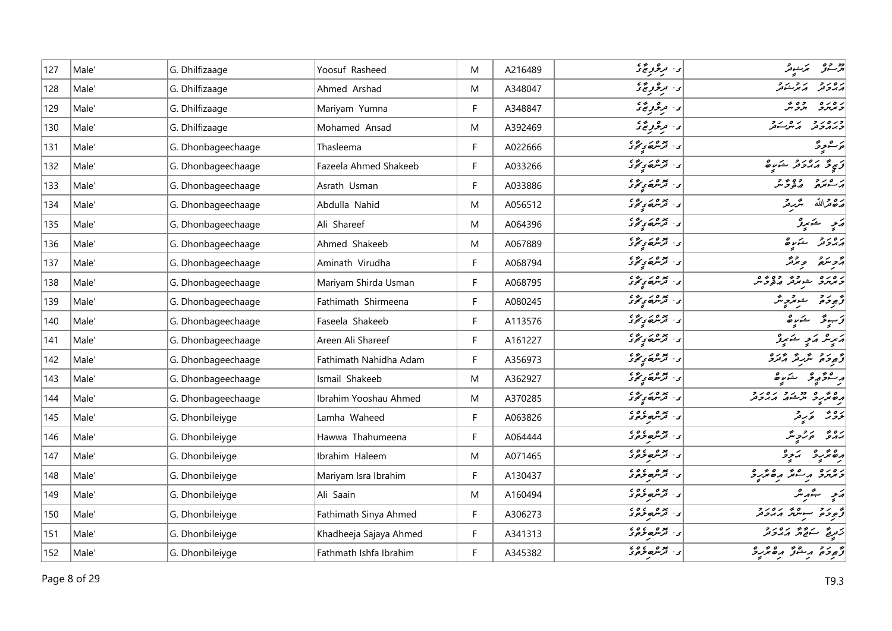| 127 | Male' | G. Dhilfizaage     | Yoosuf Rasheed         | M         | A216489 | اء · مروويج دُ                                                                                                                                                                                                                   | دد وه تر تر د                                                     |
|-----|-------|--------------------|------------------------|-----------|---------|----------------------------------------------------------------------------------------------------------------------------------------------------------------------------------------------------------------------------------|-------------------------------------------------------------------|
| 128 | Male' | G. Dhilfizaage     | Ahmed Arshad           | M         | A348047 | <sub>ى</sub> بەرتۇرىج ئ                                                                                                                                                                                                          | ره رو درورو                                                       |
| 129 | Male' | G. Dhilfizaage     | Mariyam Yumna          | F.        | A348847 | ء · مرِ قُرُوجٌ تَح                                                                                                                                                                                                              | ر ہ رہ دہ ہ<br>د <i>بر</i> برد گرد ش                              |
| 130 | Male' | G. Dhilfizaage     | Mohamed Ansad          | M         | A392469 | ، مرگور <sup>چء</sup> َ                                                                                                                                                                                                          | ورەرو كەش-ك                                                       |
| 131 | Male' | G. Dhonbageechaage | Thasleema              | F         | A022666 | ر به تر شر <i>ه د گ</i> رد                                                                                                                                                                                                       | ى مەمرۇ<br>م                                                      |
| 132 | Male' | G. Dhonbageechaage | Fazeela Ahmed Shakeeb  | F         | A033266 | <sub>ی</sub> ترش@ <sub>کی</sub> گی                                                                                                                                                                                               | زَي تَرَ دَرَ دَ تَرَ اللَّهِ عَلَيْهِ عَلَيْهِ مِنْ اللَّهِ مِنْ |
| 133 | Male' | G. Dhonbageechaage | Asrath Usman           | F         | A033886 | ى ترش ئەركىمى<br>مەنبەت ئىس                                                                                                                                                                                                      | ر مرد ده دود                                                      |
| 134 | Male' | G. Dhonbageechaage | Abdulla Nahid          | M         | A056512 | ر به چر <i>ون پ</i> ه د                                                                                                                                                                                                          | حده قرالله سمبقر                                                  |
| 135 | Male' | G. Dhonbageechaage | Ali Shareef            | M         | A064396 | <sub>ی</sub> ترشهٔ <sub>کو</sub> یچ کاری                                                                                                                                                                                         | أركمني المستوري                                                   |
| 136 | Male' | G. Dhonbageechaage | Ahmed Shakeeb          | M         | A067889 | <sub>ی</sub> ترش® پ <sup>ی</sup> وی                                                                                                                                                                                              | رەرد شەرە                                                         |
| 137 | Male' | G. Dhonbageechaage | Aminath Virudha        | F         | A068794 | د ۰ قرمر <i>ه د پ</i> ور                                                                                                                                                                                                         | أأزجر سنعر وجرمتن                                                 |
| 138 | Male' | G. Dhonbageechaage | Mariyam Shirda Usman   | F         | A068795 | <sub>ی</sub> ترش® پ <sup>ی</sup> وی                                                                                                                                                                                              | رەرە جىرتر دەرەر                                                  |
| 139 | Male' | G. Dhonbageechaage | Fathimath Shirmeena    | F         | A080245 | ر به تر شر <i>ه د پ</i> خ د                                                                                                                                                                                                      | أقهوخهم سومرج مثر                                                 |
| 140 | Male' | G. Dhonbageechaage | Faseela Shakeeb        | F         | A113576 | ر به تر شر <i>ه د پ</i> خو                                                                                                                                                                                                       | أَوْسِوَّةً الشَّمْرِةُ                                           |
| 141 | Male' | G. Dhonbageechaage | Areen Ali Shareef      | F         | A161227 | ر به تر شر <i>ه د پ</i> خور                                                                                                                                                                                                      | پر پر پر پر کامرو                                                 |
| 142 | Male' | G. Dhonbageechaage | Fathimath Nahidha Adam | F         | A356973 | ء سمجمه شرق محمد ديني<br> - سمجم محمد محمد ديني                                                                                                                                                                                  | و دو شرقه وره                                                     |
| 143 | Male' | G. Dhonbageechaage | Ismail Shakeeb         | M         | A362927 | <sub>ی</sub> ترش@ <sub>کی</sub> گی                                                                                                                                                                                               | بر شرگزم کا شکر شده                                               |
| 144 | Male' | G. Dhonbageechaage | Ibrahim Yooshau Ahmed  | M         | A370285 | د سمج محمد محمد محمد د محمد د محمد د                                                                                                                                                                                             | ת סית כ מיני מיני ב                                               |
| 145 | Male' | G. Dhonbileiyge    | Lamha Waheed           | F         | A063826 | ر بر مربوع و پر<br>د کرس                                                                                                                                                                                                         | كرەبۇ كەيەتر                                                      |
| 146 | Male' | G. Dhonbileiyge    | Hawwa Thahumeena       | F         | A064444 | بر محمد می ده در در بالاستان به داران برای در این میتوان به داران بالاستان بالاستان بالاستان بالاستان بالاستان<br>موسیقی بالاستان بالاستان بالاستان بالاستان بالاستان بالاستان بالاستان بالاستان بالاستان بالاستان بالاستان بالا | بره و برویگر                                                      |
| 147 | Male' | G. Dhonbileiyge    | Ibrahim Haleem         | M         | A071465 | ر بر مرضور ده.<br>د کرس                                                                                                                                                                                                          | رەنزىرو بەيدو                                                     |
| 148 | Male' | G. Dhonbileiyge    | Mariyam Isra Ibrahim   | F         | A130437 | ی ترشه ده د                                                                                                                                                                                                                      | ومهرو رئيس رەمزرو                                                 |
| 149 | Male' | G. Dhonbileiyge    | Ali Saain              | ${\sf M}$ | A160494 | ء میں موجود                                                                                                                                                                                                                      | أريج الشمريش                                                      |
| 150 | Male' | G. Dhonbileiyge    | Fathimath Sinya Ahmed  | F         | A306273 | ر به تر شر <sub>ته و و و</sub> د                                                                                                                                                                                                 | توجدة سوسرة برورد                                                 |
| 151 | Male' | G. Dhonbileiyge    | Khadheeja Sajaya Ahmed | F.        | A341313 | ء میں موجود                                                                                                                                                                                                                      | زَمِرِيحُ سَمَعُ مُرُ مَرَدٍ مِنْ                                 |
| 152 | Male' | G. Dhonbileiyge    | Fathmath Ishfa Ibrahim | F.        | A345382 | ر به محرم ده د و د                                                                                                                                                                                                               | وتمودة مشرق مقتررة                                                |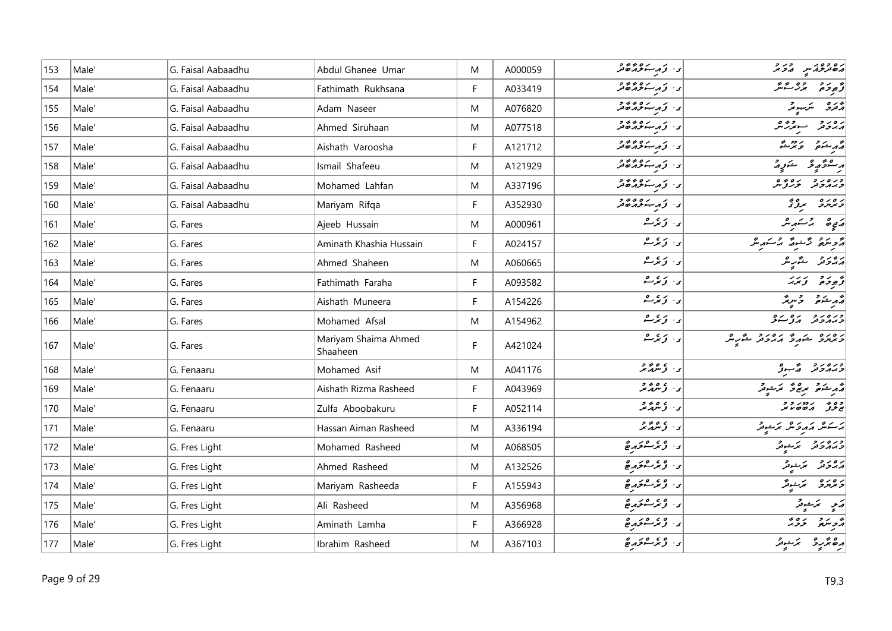| 153 | Male' | G. Faisal Aabaadhu | Abdul Ghanee Umar                | M           | A000059 | <sub>ى:</sub> ئەربىۋە ئەتە              | גפיפנית הכת                                      |
|-----|-------|--------------------|----------------------------------|-------------|---------|-----------------------------------------|--------------------------------------------------|
| 154 | Male' | G. Faisal Aabaadhu | Fathimath Rukhsana               | F           | A033419 | <sub>ى:</sub> ئەربىكى ئەھەد             | أوجوحهم بحرثر مشتر                               |
| 155 | Male' | G. Faisal Aabaadhu | Adam Naseer                      | M           | A076820 | ئەزەر سەۋە ئەتەر                        | وره سکينې                                        |
| 156 | Male' | G. Faisal Aabaadhu | Ahmed Siruhaan                   | M           | A077518 | <sub>ى:</sub> ئەربىكى ئەھەد             | ره رو سوبر شو.                                   |
| 157 | Male' | G. Faisal Aabaadhu | Aishath Varoosha                 | F           | A121712 | ئەن ئەر بەۋە ئەتەر                      | أوكر مشكور المتحر والمحر والمشكل                 |
| 158 | Male' | G. Faisal Aabaadhu | Ismail Shafeeu                   | M           | A121929 | ئەزەر سەۋە ئەتەر                        | ر شرگړي شکړ ک                                    |
| 159 | Male' | G. Faisal Aabaadhu | Mohamed Lahfan                   | M           | A337196 | ئەزەر سەۋە ئەتە                         | ورەرو رەپەە<br><i>وپەدون ۋرۇ</i> س               |
| 160 | Male' | G. Faisal Aabaadhu | Mariyam Rifqa                    | F           | A352930 | ئەس ئەر ئەھم ھەتر                       | و دره بروژ                                       |
| 161 | Male' | G. Fares           | Ajeeb Hussain                    | M           | A000961 | ى ئەتەرھ                                | ړې په پرېنه                                      |
| 162 | Male' | G. Fares           | Aminath Khashia Hussain          | F           | A024157 | ى ئەترىپە ھ                             | أأوسكم الأحوأة الاسكران                          |
| 163 | Male' | G. Fares           | Ahmed Shaheen                    | M           | A060665 | ى ئەترىپى ھ                             | رەرو شەرش                                        |
| 164 | Male' | G. Fares           | Fathimath Faraha                 | $\mathsf F$ | A093582 | ى - تۆتۈپ                               | وتجاوح وترتر                                     |
| 165 | Male' | G. Fares           | Aishath Muneera                  | F           | A154226 | ، ئەسىر مەرك                            | أقهر منكور والمحسنة                              |
| 166 | Male' | G. Fares           | Mohamed Afsal                    | M           | A154962 | ی- توتگرشہ                              | ورەرو رەري                                       |
| 167 | Male' | G. Fares           | Mariyam Shaima Ahmed<br>Shaaheen | $\mathsf F$ | A421024 | ی- ئۇتئرىشە                             | و ده ده مشهرهٔ مهرور و مقرر ش                    |
| 168 | Male' | G. Fenaaru         | Mohamed Asif                     | M           | A041176 | ى ئۇشمەتر                               | ورەرو ۋىبو                                       |
| 169 | Male' | G. Fenaaru         | Aishath Rizma Rasheed            | $\mathsf F$ | A043969 | ى ئۇشمەتر                               |                                                  |
| 170 | Male' | G. Fenaaru         | Zulfa Aboobakuru                 | F           | A052114 | ى ئۇسمەسى                               | 7777777777                                       |
| 171 | Male' | G. Fenaaru         | Hassan Aiman Rasheed             | M           | A336194 | ى ئەھەم                                 | كاسكانكر مكركانكر المركبون                       |
| 172 | Male' | G. Fres Light      | Mohamed Rasheed                  | M           | A068505 | ى ئۇنگە سىمكەم ھ                        | وره رو بر مشوتر<br>  <i>و بر بر د بر مر</i> شوتر |
| 173 | Male' | G. Fres Light      | Ahmed Rasheed                    | ${\sf M}$   | A132526 | ى ئۇترىشۇر ھ                            | ره رو بر بر<br>در بر بر                          |
| 174 | Male' | G. Fres Light      | Mariyam Rasheeda                 | F.          | A155943 | <sub>ى:</sub> ۋېر شوَ <sub>م</sub> وَ ھ | و وړو تر شوتر                                    |
| 175 | Male' | G. Fres Light      | Ali Rasheed                      | M           | A356968 | ى ئۇنىز سىزىر ھ                         | أصو المرجومر                                     |
| 176 | Male' | G. Fres Light      | Aminath Lamha                    | F           | A366928 | <sub>ى ئۇ</sub> بۇس <sup>ى</sup> بۇرىق  | أزويتم تزوج                                      |
| 177 | Male' | G. Fres Light      | Ibrahim Rasheed                  | M           | A367103 | ى بىر شىخ مەنج                          | رە ئۇرۇ بىر ئونى                                 |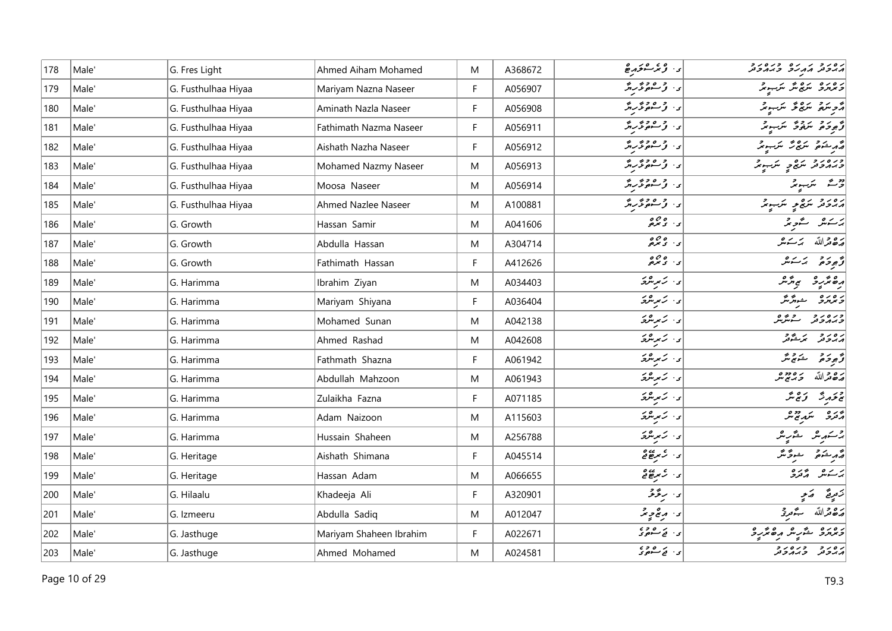| 178 | Male' | G. Fres Light       | Ahmed Aiham Mohamed     | M           | A368672 | <sub>ى</sub> ، ئ <i>ۇ ئەرىخىدى</i> ج                     | גם גד התניכ כמחכת                                                                                       |
|-----|-------|---------------------|-------------------------|-------------|---------|----------------------------------------------------------|---------------------------------------------------------------------------------------------------------|
| 179 | Male' | G. Fusthulhaa Hiyaa | Mariyam Nazna Naseer    | F           | A056907 | لى . تۇسىھۇرىدىگە                                        | دەرە رەش سەسر                                                                                           |
| 180 | Male' | G. Fusthulhaa Hiyaa | Aminath Nazla Naseer    | F           | A056908 | ، ئۇستىمۇتىرىد                                           | أأدوبتهم لتركافى لترسونني                                                                               |
| 181 | Male' | G. Fusthulhaa Hiyaa | Fathimath Nazma Naseer  | F           | A056911 | ى ئۇسىمۇرلىر                                             | أزُودَهُ سَهْرَ سَرَبِيدٌ                                                                               |
| 182 | Male' | G. Fusthulhaa Hiyaa | Aishath Nazha Naseer    | F           | A056912 | ى ئۇسىمۇ ئۇرلۇ                                           | ە ئەستىم سى ئاسىسى ئىستىد                                                                               |
| 183 | Male' | G. Fusthulhaa Hiyaa | Mohamed Nazmy Naseer    | M           | A056913 | ى - تۇسىمۇ ئۇ ئەرلگە                                     | ورورو رو په شهر                                                                                         |
| 184 | Male' | G. Fusthulhaa Hiyaa | Moosa Naseer            | M           | A056914 | ى ئۇسىمۇرىگە                                             | ارستم الكرب مركز<br>المركز الكرب مركز المركز المركز المركز المركز المركز المركز المركز المركز المركز ال |
| 185 | Male' | G. Fusthulhaa Hiyaa | Ahmed Nazlee Naseer     | ${\sf M}$   | A100881 | ى تۇسىمۇ ئۇرىگە                                          | أرورو الرجمي الكرسولر                                                                                   |
| 186 | Male' | G. Growth           | Hassan Samir            | M           | A041606 | $\frac{000}{5}$                                          | پرسەنلەر سەھرىتى                                                                                        |
| 187 | Male' | G. Growth           | Abdulla Hassan          | M           | A304714 | $\frac{\partial \mathcal{O} \partial}{\partial x^2}$ . s | مَدْهُ قَدْاللّه بَرْسَهْ                                                                               |
| 188 | Male' | G. Growth           | Fathimath Hassan        | F.          | A412626 | ه ۵ <i>۵۰</i><br>۲۰ ک <sup>ه</sup> مردم                  | أوجودهم برسكم                                                                                           |
| 189 | Male' | G. Harimma          | Ibrahim Ziyan           | M           | A034403 | ى ئەربىرى                                                | رەترىر يېرىر                                                                                            |
| 190 | Male' | G. Harimma          | Mariyam Shiyana         | F           | A036404 | ى ئەر ئىر                                                | ترەرە شەرقىر                                                                                            |
| 191 | Male' | G. Harimma          | Mohamed Sunan           | M           | A042138 | ى ئەسپەتلەق                                              | و ر ه ر د<br>تر پر تر تر<br><u>ر ئۇيۇ</u>                                                               |
| 192 | Male' | G. Harimma          | Ahmed Rashad            | M           | A042608 | ى ئەرشۇ                                                  | رەر دىرىدى<br>مەروىس بىرىشەتر                                                                           |
| 193 | Male' | G. Harimma          | Fathmath Shazna         | $\mathsf F$ | A061942 | ى ئەرشخە                                                 | تۇ بۇ جۇ ھەم ئىگەنگر                                                                                    |
| 194 | Male' | G. Harimma          | Abdullah Mahzoon        | M           | A061943 | ى ئەمرىكرىگە                                             | بر ۵ دو ۵<br>تر بر ښ<br>ەھىراللە                                                                        |
| 195 | Male' | G. Harimma          | Zulaikha Fazna          | F           | A071185 | ى ئەستىر شرىخ                                            | كالخرمر وكالملج مثر                                                                                     |
| 196 | Male' | G. Harimma          | Adam Naizoon            | M           | A115603 | ى ئەر ئىر                                                | وره شروره<br>منرو شری                                                                                   |
| 197 | Male' | G. Harimma          | Hussain Shaheen         | M           | A256788 | ى ئەرشخە                                                 |                                                                                                         |
| 198 | Male' | G. Heritage         | Aishath Shimana         | F           | A045514 | ى گەرىپى<br>ئ                                            | د ديده جود شود شر                                                                                       |
| 199 | Male' | G. Heritage         | Hassan Adam             | M           | A066655 | $rac{c}{c}$ $rac{c}{c}$ $rac{c}{c}$                      | يز کشش پر پژنده                                                                                         |
| 200 | Male' | G. Hilaalu          | Khadeeja Ali            | F           | A320901 | ى - روَّى                                                | تزويعٌ = الأسمح                                                                                         |
| 201 | Male' | G. Izmeeru          | Abdulla Sadiq           | M           | A012047 | ی پرچ چې تر                                              | برە قراللە سەمرتى                                                                                       |
| 202 | Male' | G. Jasthuge         | Mariyam Shaheen Ibrahim | F.          | A022671 | ر د کے سعود کا                                           | دەرو ئەربىر مەمرىرو                                                                                     |
| 203 | Male' | G. Jasthuge         | Ahmed Mohamed           | M           | A024581 | ر د ده و د و<br>د ۰ قع مسکوه و د                         | נפנד בנסנד<br>גגבת בגגבת                                                                                |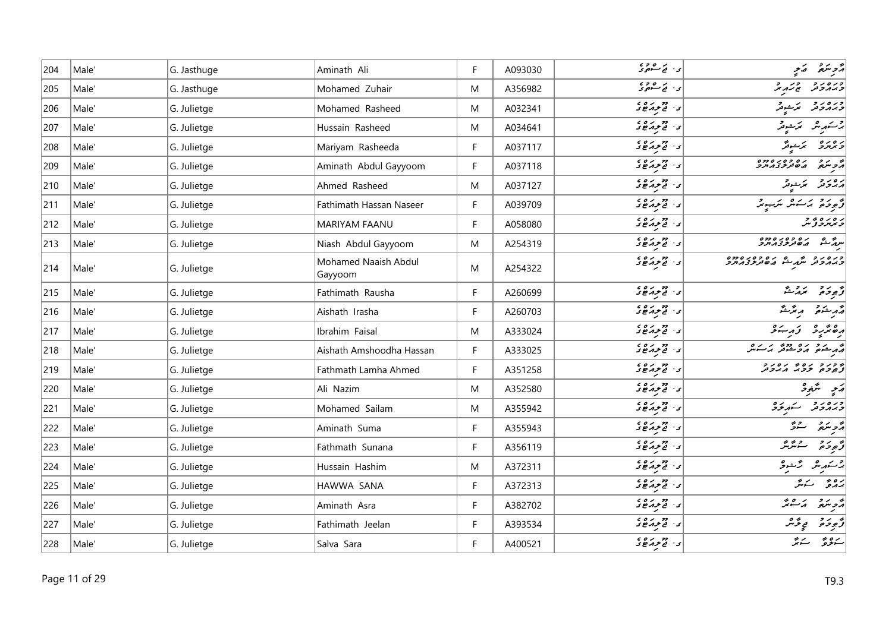| 204 | Male' | G. Jasthuge | Aminath Ali                     | F         | A093030 | ر د ده و د<br>د ۰ مخ سوده د                        | أأترسم أأأتمني                                                                                                 |
|-----|-------|-------------|---------------------------------|-----------|---------|----------------------------------------------------|----------------------------------------------------------------------------------------------------------------|
| 205 | Male' | G. Jasthuge | Mohamed Zuhair                  | ${\sf M}$ | A356982 | ر د ه و د و<br>د ۰ قع مسکو <i>م</i> و <del>د</del> | وره دو ورد و                                                                                                   |
| 206 | Male' | G. Julietge | Mohamed Rasheed                 | ${\sf M}$ | A032341 | د . قرحره د<br>د . قرح                             | وره د و پر پر درگر                                                                                             |
| 207 | Male' | G. Julietge | Hussain Rasheed                 | M         | A034641 | د . قوچره د                                        | رحم محمد المتحر المراسفية                                                                                      |
| 208 | Male' | G. Julietge | Mariyam Rasheeda                | F         | A037117 | د . قوم کار<br>د . قوم گار                         | و وره پرجينگر                                                                                                  |
| 209 | Male' | G. Julietge | Aminath Abdul Gayyoom           | F         | A037118 | د به دره د<br>د کام در کار                         | ر ם כ ם ג ם <del>כב</del> ם<br>1 <i>גם בת ב ב חיר</i> ב<br>ۇ جە ئىدى <i>م</i>                                  |
| 210 | Male' | G. Julietge | Ahmed Rasheed                   | ${\sf M}$ | A037127 | د . قوم 20 م<br>د . قوم 20 م                       | أربروتر بمنصوص                                                                                                 |
| 211 | Male' | G. Julietge | Fathimath Hassan Naseer         | F         | A039709 | د به دره د<br>د کام در کار                         | ۇپروتۇرىيەش ئىرلىدى                                                                                            |
| 212 | Male' | G. Julietge | MARIYAM FAANU                   | F         | A058080 | د به ده ده و                                       | ر ه ر ه و و<br><del>د</del> بربرو تر س                                                                         |
| 213 | Male' | G. Julietge | Niash Abdul Gayyoom             | M         | A254319 | د . قودگاه کا                                      | سرگرام بره وه بره دوه<br>سرگرامبر می موسوعی مرکز                                                               |
| 214 | Male' | G. Julietge | Mohamed Naaish Abdul<br>Gayyoom | ${\sf M}$ | A254322 | د . قوم گ                                          | כנסנכ שה כסנסנססים<br>כמהכת יתה כל השתיבבהית                                                                   |
| 215 | Male' | G. Julietge | Fathimath Rausha                | F         | A260699 | د . قوم 20 م<br>د . قوم 20 م                       | توجدة بمدينة                                                                                                   |
| 216 | Male' | G. Julietge | Aishath Irasha                  | F         | A260703 | د . قوم 20 و<br>د . قوم 20 و                       | فمرخوش وبرشة                                                                                                   |
| 217 | Male' | G. Julietge | Ibrahim Faisal                  | M         | A333024 | د . قوم 20 مي                                      | رەپرىر زىربىد                                                                                                  |
| 218 | Male' | G. Julietge | Aishath Amshoodha Hassan        | F         | A333025 | د . قوچره د                                        | ەربەر رەپرە برىك                                                                                               |
| 219 | Male' | G. Julietge | Fathmath Lamha Ahmed            | F         | A351258 | د به ده ده د<br>د کام در ده د                      | s c c c o c c c c c<br>3 g c c c c c c c c c                                                                   |
| 220 | Male' | G. Julietge | Ali Nazim                       | M         | A352580 | د . قويره <i>و .</i><br>د . قويره د                | أرزم ستبور                                                                                                     |
| 221 | Male' | G. Julietge | Mohamed Sailam                  | ${\sf M}$ | A355942 | د . قوم 20 تا                                      | و ره ر د<br>ح په رس<br>ستهرئرو                                                                                 |
| 222 | Male' | G. Julietge | Aminath Suma                    | F         | A355943 | د به دره د<br>د کام در کار                         |                                                                                                                |
| 223 | Male' | G. Julietge | Fathmath Sunana                 | F         | A356119 | د . قوم 20 م<br>د . قوم 20 م                       | <u>شە ئەر</u> تىر<br>ء مر د<br>ترموخ م                                                                         |
| 224 | Male' | G. Julietge | Hussain Hashim                  | ${\sf M}$ | A372311 | د به ده ده د<br>د کام در ه د                       | رحم محمد من محمد المحمد التي تحريد التي تحريد التي تحريد التي تحريد التي تحريد التي تحريد التي تحريد<br>منظمات |
| 225 | Male' | G. Julietge | HAWWA SANA                      | F         | A372313 | د به دره د<br>د کام در کار                         | برە ئەسىر                                                                                                      |
| 226 | Male' | G. Julietge | Aminath Asra                    | F         | A382702 | د . قودگاه کا                                      | ىر ھىجە<br>لمجمعه سنرو                                                                                         |
| 227 | Male' | G. Julietge | Fathimath Jeelan                | F         | A393534 | د به دره د                                         | وحجوحهم<br>ي تَرْ سُر                                                                                          |
| 228 | Male' | G. Julietge | Salva Sara                      | F         | A400521 | د . قوم وه و<br>د . قوم هو                         | سەۋۇ سەتر                                                                                                      |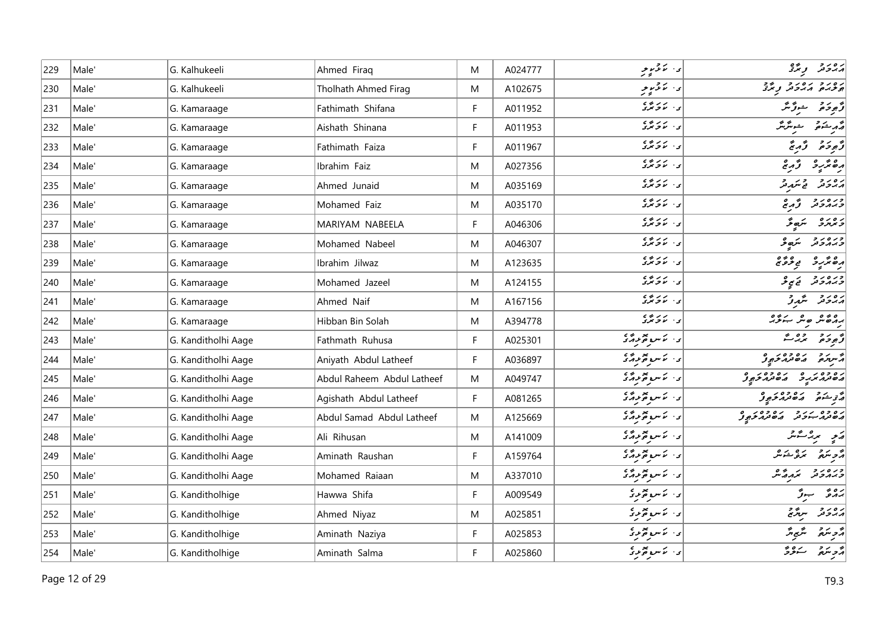| 229 | Male' | G. Kalhukeeli       | Ahmed Firaq                | M           | A024777 | <br> ۍ موگورو                             | پروتر پرچو                                                     |
|-----|-------|---------------------|----------------------------|-------------|---------|-------------------------------------------|----------------------------------------------------------------|
| 230 | Male' | G. Kalhukeeli       | Tholhath Ahmed Firag       | M           | A102675 | <br> ۍ مذکرومو                            | ره رو ره رو و مدو                                              |
| 231 | Male' | G. Kamaraage        | Fathimath Shifana          | F           | A011952 | ر در ده د<br>د ۱ مانونوی                  | ژوځو جرژنگر                                                    |
| 232 | Male' | G. Kamaraage        | Aishath Shinana            | F           | A011953 | د . ارد ه د .<br>د . اما <del>و</del> بود | ۇرىشكى ھوسرىگە                                                 |
| 233 | Male' | G. Kamaraage        | Fathimath Faiza            | F           | A011967 | ى سىمىتى ئىمى                             | وٌوِدَهُ وَ"                                                   |
| 234 | Male' | G. Kamaraage        | Ibrahim Faiz               | M           | A027356 | ر ر ر د د<br>د ۱ مارندی                   | وەتزرۈ<br>توگري                                                |
| 235 | Male' | G. Kamaraage        | Ahmed Junaid               | M           | A035169 | ر در ده د<br>د ۱ مانونوی                  | גם גב בתגב                                                     |
| 236 | Male' | G. Kamaraage        | Mohamed Faiz               | M           | A035170 | ر در ده د<br>د ۱ مانونوی                  | ورەر د پ                                                       |
| 237 | Male' | G. Kamaraage        | MARIYAM NABEELA            | F           | A046306 | ر ر ر د ه<br>د ۱ مارنور                   | ر ہ ر ہ<br><del>ر</del> بربر ژ<br>سرّجه قر                     |
| 238 | Male' | G. Kamaraage        | Mohamed Nabeel             | M           | A046307 | ر رکھنے تاریخ<br>ی انگریمونی              | سرّە ئر<br>و ره ر د<br>تر <i>پر د</i> تر                       |
| 239 | Male' | G. Kamaraage        | Ibrahim Jilwaz             | M           | A123635 | ر در ده د<br>د ۱ مانونوی                  | ە ھەتتەر 2<br>بر ھەتتەر 2<br>و گرگرم                           |
| 240 | Male' | G. Kamaraage        | Mohamed Jazeel             | M           | A124155 | ى - ئەتوكلىرى                             | دیرہ در دی ہے ج                                                |
| 241 | Male' | G. Kamaraage        | Ahmed Naif                 | M           | A167156 | ر در ده د<br>د ۱ مانونوی                  | برەر ئەسمەتى                                                   |
| 242 | Male' | G. Kamaraage        | Hibban Bin Solah           | M           | A394778 | ى بە ئەتەنىي                              | بروځند ځنگه شوګر                                               |
| 243 | Male' | G. Kanditholhi Aage | Fathmath Ruhusa            | $\mathsf F$ | A025301 | ى ئەسرىم تەرەپى<br>ئ                      | أقرجر وحرقية                                                   |
| 244 | Male' | G. Kanditholhi Aage | Aniyath Abdul Latheef      | F           | A036897 | ى ئەسمەھ بەرى<br>ئ                        | הייתה הסינה בקל                                                |
| 245 | Male' | G. Kanditholhi Aage | Abdul Raheem Abdul Latheef | M           | A049747 | ، ئەسومۇرۇ <sup>ي</sup>                   | ره وه رعص ده وه در ه<br>پره تربر <i>تربر حرم ده شربر ترب</i> و |
| 246 | Male' | G. Kanditholhi Aage | Agishath Abdul Latheef     | F           | A081265 | ، ئەسدە بېرە بىرى<br>مەسرە ئېرىدى         | د در ده ده ده ده و<br>مگتی شوی می مهر مرکز می                  |
| 247 | Male' | G. Kanditholhi Aage | Abdul Samad Abdul Latheef  | M           | A125669 | ، ئەسرىم ئىرەم ئ                          | ג ם כם גג כ גם כם גם<br>השנה הכנג השנה כם ל                    |
| 248 | Male' | G. Kanditholhi Aage | Ali Rihusan                | M           | A141009 | ، ئەس <sub>لا</sub> م بور <sup>ى</sup>    | ړې بررگېګر                                                     |
| 249 | Male' | G. Kanditholhi Aage | Aminath Raushan            | F           | A159764 | ى ئەسومۇدە ئ                              | أأرجع المتحدث المستورث                                         |
| 250 | Male' | G. Kanditholhi Aage | Mohamed Raiaan             | M           | A337010 | ى ئەسمەتتىرە<br>ئ                         | ورەرو ئەرگە                                                    |
| 251 | Male' | G. Kanditholhige    | Hawwa Shifa                | F           | A009549 | ى ئەس ھۆرى<br>ئ                           | رە پە<br>پەرە<br>سيدو                                          |
| 252 | Male' | G. Kanditholhige    | Ahmed Niyaz                | M           | A025851 | ى ئەس ھورى<br>ئ                           | ەرەر د<br>سرگرمج                                               |
| 253 | Male' | G. Kanditholhige    | Aminath Naziya             | F           | A025853 | لى سىگىنىدى<br>كەن ئىگەنلىرى بىر          | متثبيرة<br>أرمز                                                |
| 254 | Male' | G. Kanditholhige    | Aminath Salma              | F           | A025860 | ، ئەسىۋە يېتى<br>ئ                        | ړې شره ده د                                                    |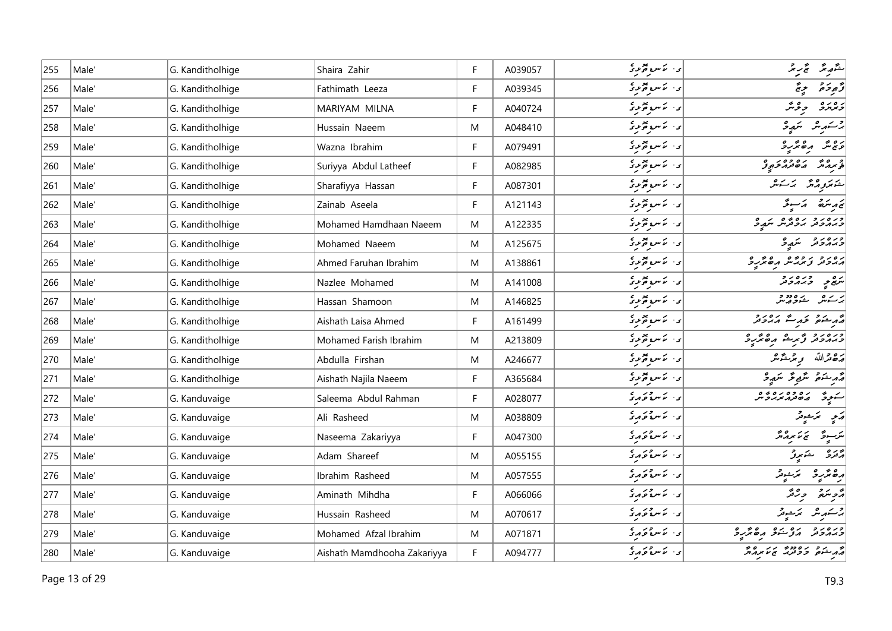| 255 | Male' | G. Kanditholhige | Shaira Zahir                | F           | A039057 | لى سىمىسى<br>كەن سىمىسى سىر                                                                                                    | پچ ريز<br>م<br>ڪ پر پڙ<br>ا               |
|-----|-------|------------------|-----------------------------|-------------|---------|--------------------------------------------------------------------------------------------------------------------------------|-------------------------------------------|
| 256 | Male' | G. Kanditholhige | Fathimath Leeza             | F           | A039345 | ، ئەسىۋەر،<br>، ئاسىۋەر                                                                                                        | ۇ بوز م<br>مريح                           |
| 257 | Male' | G. Kanditholhige | MARIYAM MILNA               | F           | A040724 | ، ئەسوم دى                                                                                                                     | ر ه ر ه<br><del>و</del> بربرو<br>جرعه تثر |
| 258 | Male' | G. Kanditholhige | Hussain Naeem               | M           | A048410 | ، ئەسىرى <i>چە</i> ئ                                                                                                           | جر س <sub>ک</sub> ر میں<br>م<br>سمەر      |
| 259 | Male' | G. Kanditholhige | Wazna Ibrahim               | F           | A079491 | ى ئەسىۋەرى<br>ئ                                                                                                                | وی شهر مصر دی                             |
| 260 | Male' | G. Kanditholhige | Suriyya Abdul Latheef       | $\mathsf F$ | A082985 | ى سىگىلىن ئېچ مىي<br>ئ                                                                                                         | و وه ده ده وه د و                         |
| 261 | Male' | G. Kanditholhige | Sharafiyya Hassan           | F           | A087301 | ى ئەس ھۈرى<br>ئ                                                                                                                | شىرومۇ باسىر                              |
| 262 | Male' | G. Kanditholhige | Zainab Aseela               | F           | A121143 | ى ئەس ھۈرى<br>ئ                                                                                                                | ىم ئىر ئىشق مۇسىز                         |
| 263 | Male' | G. Kanditholhige | Mohamed Hamdhaan Naeem      | M           | A122335 | لى سىگە مىيە مىيە مىي<br>مەسىر مىيە                                                                                            | ورەرو رەپەە شەر                           |
| 264 | Male' | G. Kanditholhige | Mohamed Naeem               | M           | A125675 | <sub>ى</sub> سى مىسوچىرى <br> ى سى مىسىر مىرى                                                                                  | ورەر ئىمەد                                |
| 265 | Male' | G. Kanditholhige | Ahmed Faruhan Ibrahim       | M           | A138861 | لى سىگىنىدى<br>كەن ئىسىم ھورى                                                                                                  | ره رو برویم ره پر د                       |
| 266 | Male' | G. Kanditholhige | Nazlee Mohamed              | M           | A141008 | ، ئەسەھرى                                                                                                                      | پرچ په دره دره                            |
| 267 | Male' | G. Kanditholhige | Hassan Shamoon              | M           | A146825 | ى ئەس ئەرى                                                                                                                     | يركب من المروج حر                         |
| 268 | Male' | G. Kanditholhige | Aishath Laisa Ahmed         | F           | A161499 | ، ئەسوھ بىر<br>، ئەسوھ بىر                                                                                                     | مەم شەھ كەرگ مەرك                         |
| 269 | Male' | G. Kanditholhige | Mohamed Farish Ibrahim      | M           | A213809 | ى ئەسىۋەرى<br>ئ                                                                                                                | ورەرد ۋىرىشە مەھرىر                       |
| 270 | Male' | G. Kanditholhige | Abdulla Firshan             | M           | A246677 | ء ·   ماسع څونو                                                                                                                | رەقمەللە موبترىشەش                        |
| 271 | Male' | G. Kanditholhige | Aishath Najila Naeem        | F           | A365684 | <sub>ی</sub> گماسع څونونو                                                                                                      | مەر شەر شەر ئىمەد                         |
| 272 | Male' | G. Kanduvaige    | Saleema Abdul Rahman        | F           | A028077 | ، ئەسۋە <i>ر</i> ئە                                                                                                            | ر د ده ده ده ده ده م                      |
| 273 | Male' | G. Kanduvaige    | Ali Rasheed                 | M           | A038809 | ى ئەسۋە <i>رى</i>                                                                                                              | أركمت المرتشوقر                           |
| 274 | Male' | G. Kanduvaige    | Naseema Zakariyya           | F           | A047300 | ى ئەس ئەربى                                                                                                                    | תְּהַלְ אֲעֲתָת                           |
| 275 | Male' | G. Kanduvaige    | Adam Shareef                | M           | A055155 | ى ئەسمەھەدى<br>ئ                                                                                                               | ر ده<br>پرتور<br>ڪ ميروش                  |
| 276 | Male' | G. Kanduvaige    | Ibrahim Rasheed             | M           | A057555 | ى ئەس ئەربى                                                                                                                    | ەر ھەتتەر 2<br>ر<br>بمرسوقر               |
| 277 | Male' | G. Kanduvaige    | Aminath Mihdha              | F           | A066066 | ى ئەسۋە <i>رى</i>                                                                                                              | أأدجن ورائد                               |
| 278 | Male' | G. Kanduvaige    | Hussain Rasheed             | M           | A070617 | ى ئەسۋەرى                                                                                                                      | برسكهر مكرجونر                            |
| 279 | Male' | G. Kanduvaige    | Mohamed Afzal Ibrahim       | M           | A071871 | $\left  \begin{array}{ccc} \text{c} & \text{c} & \text{c} & \text{c} \ & \text{c} & \text{c} & \text{c} \ \end{array} \right $ | כנים בי הרביית הסתיק                      |
| 280 | Male' | G. Kanduvaige    | Aishath Mamdhooha Zakariyya | F           | A094777 | ، ئەس <i>ەۋەر</i>                                                                                                              | כ מי כ כ כני מי כל                        |
|     |       |                  |                             |             |         |                                                                                                                                |                                           |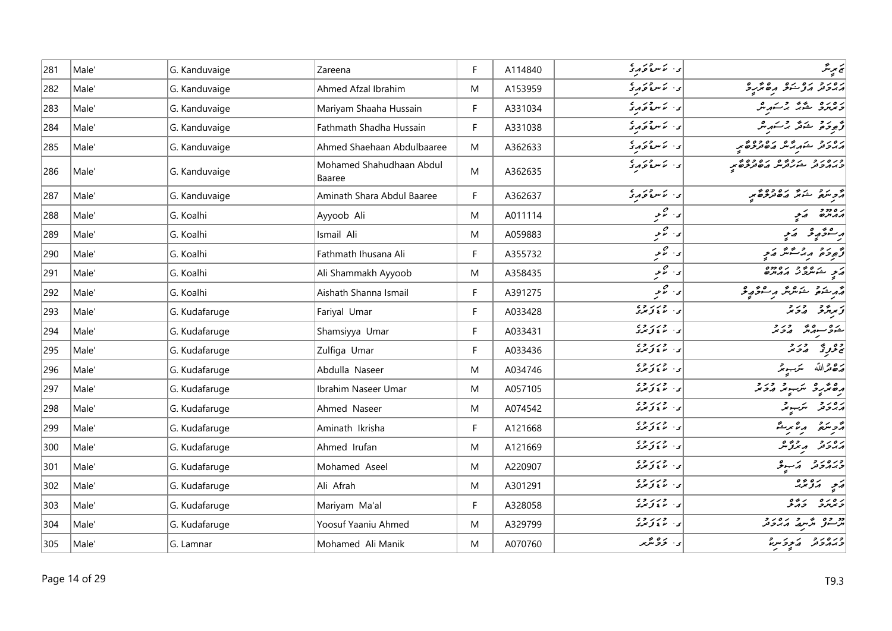| 281 | Male' | G. Kanduvaige | Zareena                            | F. | A114840 | 5,0,0,0,0,0,0                       | ئے سمیہ مگر                                                                                          |
|-----|-------|---------------|------------------------------------|----|---------|-------------------------------------|------------------------------------------------------------------------------------------------------|
| 282 | Male' | G. Kanduvaige | Ahmed Afzal Ibrahim                | M  | A153959 | ى ئەسۋۇرى                           | رەر دەر دەر ھەترىر                                                                                   |
| 283 | Male' | G. Kanduvaige | Mariyam Shaaha Hussain             | F  | A331034 | ى ئەسىۋەر                           | دەرە شەر جامبەش                                                                                      |
| 284 | Male' | G. Kanduvaige | Fathmath Shadha Hussain            | F  | A331038 | <sub>ى</sub> ، ئەسمەھ <i>ەر</i>     | و محمد من المستقرر المستقرر المحمد المحمد المحمد المحمد المحمد المحمد المحمد المحمد المحمد المحمد ال |
| 285 | Male' | G. Kanduvaige | Ahmed Shaehaan Abdulbaaree         | M  | A362633 | د ، ئاسو د د د ه                    | رەرد شەر شەر مەدەھىر                                                                                 |
| 286 | Male' | G. Kanduvaige | Mohamed Shahudhaan Abdul<br>Baaree | M  | A362635 | ى ئەسۋەرى                           | ورەرو برودە بەدەپ<br><i>وبەدونر</i> شەرىرىر مەھىر <i>ۈھى</i> ر                                       |
| 287 | Male' | G. Kanduvaige | Aminath Shara Abdul Baaree         | F  | A362637 | ، ئەس <i>ە ئۇم</i> رى               | הקייטה ייניה הסתלסת                                                                                  |
| 288 | Male' | G. Koalhi     | Ayyoob Ali                         | M  | A011114 | ای <sup>.</sup> جي په               | ג 2720 בית                                                                                           |
| 289 | Male' | G. Koalhi     | Ismail Ali                         | M  | A059883 | ای <sup>.</sup> میگی<br>ا           | أبر شرقه ويحمح أنه أنجيج                                                                             |
| 290 | Male' | G. Koalhi     | Fathmath Ihusana Ali               | F  | A355732 | $\overline{\mathcal{L}^{2}\cdot s}$ | توجوجو ماير شكر مد                                                                                   |
| 291 | Male' | G. Koalhi     | Ali Shammakh Ayyoob                | M  | A358435 | ای چې                               | $\frac{1}{2}$                                                                                        |
| 292 | Male' | G. Koalhi     | Aishath Shanna Ismail              | F  | A391275 | ی- ننگو                             | ە ئەخكە ئىشرىگە بەسىۋە يۇ                                                                            |
| 293 | Male' | G. Kudafaruge | Fariyal Umar                       | F. | A033428 | د ۱ ور د د د<br>د ۱ ما ډ تو بود     | ويروثو المروا                                                                                        |
| 294 | Male' | G. Kudafaruge | Shamsiyya Umar                     | F  | A033431 | ى سىم ئەترىپرى                      | أشوش مدد ورو                                                                                         |
| 295 | Male' | G. Kudafaruge | Zulfiga Umar                       | F. | A033436 | ى سىم ئەترىپرى                      | ج څو پخه د چې چې په                                                                                  |
| 296 | Male' | G. Kudafaruge | Abdulla Naseer                     | M  | A034746 | د ۱ ور د د د<br>د ۱ ما د تو برد     | رەقمەللە سەببوتر                                                                                     |
| 297 | Male' | G. Kudafaruge | Ibrahim Naseer Umar                | M  | A057105 | د . - مړۍ <i>ده</i> .               | رە ئرىرو سەيدىر مەدىر                                                                                |
| 298 | Male' | G. Kudafaruge | Ahmed Naseer                       | M  | A074542 | $5555 - 5$                          | رەرو شبوتر                                                                                           |
| 299 | Male' | G. Kudafaruge | Aminath Ikrisha                    | F  | A121668 | $5555 - 5$                          | أزويته والمعربة                                                                                      |
| 300 | Male' | G. Kudafaruge | Ahmed Irufan                       | M  | A121669 | $5555 - 5$                          | رەرد مەرگە                                                                                           |
| 301 | Male' | G. Kudafaruge | Mohamed Aseel                      | M  | A220907 | $5555 - 5$                          | ورەرو كەببولى                                                                                        |
| 302 | Male' | G. Kudafaruge | Ali Afrah                          | M  | A301291 | $5555 - 5$                          | أوسم والمحرور                                                                                        |
| 303 | Male' | G. Kudafaruge | Mariyam Ma'al                      | F. | A328058 | $5555 - 5$                          | ره ره دره<br>د بر رو در                                                                              |
| 304 | Male' | G. Kudafaruge | Yoosuf Yaaniu Ahmed                | M  | A329799 | د ۱ - ۲۰۶ وي.<br>د ۱ - ۲ نوکوبوري   | מ כף ה"יתה ה'מכת                                                                                     |
| 305 | Male' | G. Lamnar     | Mohamed Ali Manik                  | M  | A070760 | ى بەرە ئەگەر                        | כממכנה התבית                                                                                         |
|     |       |               |                                    |    |         |                                     |                                                                                                      |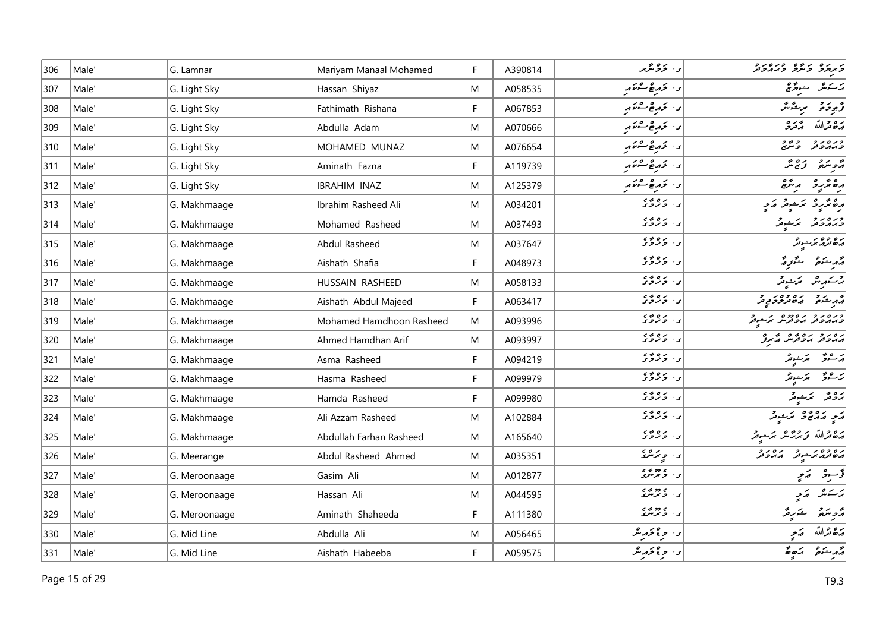| 306 | Male' | G. Lamnar     | Mariyam Manaal Mohamed   | F         | A390814 | ى كەن ئەگەر                 | و ده د ده وره د و                                                                                                                                                          |
|-----|-------|---------------|--------------------------|-----------|---------|-----------------------------|----------------------------------------------------------------------------------------------------------------------------------------------------------------------------|
| 307 | Male' | G. Light Sky  | Hassan Shiyaz            | M         | A058535 | ء بمرضوع يتمكن              | ىز سەندە ھەردىنى<br>بەسەندە                                                                                                                                                |
| 308 | Male' | G. Light Sky  | Fathimath Rishana        | F.        | A067853 | د· مخ <sub>ار</sub> ه عنوار | ۇيوۋە برىشىر                                                                                                                                                               |
| 309 | Male' | G. Light Sky  | Abdulla Adam             | M         | A070666 | ى خرم ھىشىدىم               | مَدْهِ مِنْ اللَّهُ مَرْ مَرْدَّ                                                                                                                                           |
| 310 | Male' | G. Light Sky  | MOHAMED MUNAZ            | M         | A076654 | ى خرىق ھىمكىر               | כנסנכ כבב<br><i>כג</i> ובב ביתה                                                                                                                                            |
| 311 | Male' | G. Light Sky  | Aminath Fazna            | F         | A119739 | ى خەرج شىئەر                | أزجر المتوج والمحامير                                                                                                                                                      |
| 312 | Male' | G. Light Sky  | <b>IBRAHIM INAZ</b>      | M         | A125379 | د· مخ <sub>ار</sub> ه عنوار | أرەنزىر بەشق                                                                                                                                                               |
| 313 | Male' | G. Makhmaage  | Ibrahim Rasheed Ali      | ${\sf M}$ | A034201 | ى بە ئەۋە                   | ە قەرىرى ئەيدۇر كەي<br>رەھەرىرى ئەيدۇر كەي<br>جەرەكەتى ئەيدۇر                                                                                                              |
| 314 | Male' | G. Makhmaage  | Mohamed Rasheed          | M         | A037493 | ى بەر ئەلبى                 |                                                                                                                                                                            |
| 315 | Male' | G. Makhmaage  | Abdul Rasheed            | M         | A037647 | ى بەر ئەلبى                 | ره <del>ده ر</del><br>د کانگرد تر شونگر                                                                                                                                    |
| 316 | Male' | G. Makhmaage  | Aishath Shafia           | F         | A048973 | ى بەرگە ئە                  | ورمشتر مشرو                                                                                                                                                                |
| 317 | Male' | G. Makhmaage  | HUSSAIN RASHEED          | M         | A058133 | ى - ئۇڭرى                   | جرسكور مكر المحر والمحر                                                                                                                                                    |
| 318 | Male' | G. Makhmaage  | Aishath Abdul Majeed     | F         | A063417 | ى ئەرەپىي                   | و در ده ده ده در د<br>وگرشوی ارز در در د                                                                                                                                   |
| 319 | Male' | G. Makhmaage  | Mohamed Hamdhoon Rasheed | M         | A093996 | ى بە ئەۋە                   | ورەر د پرەددە بر شەد<br><i>دېرم</i> وتر بروترس برشوتر                                                                                                                      |
| 320 | Male' | G. Makhmaage  | Ahmed Hamdhan Arif       | M         | A093997 | ى بەر ئەلبى                 | ره رو بره وه ه و و.<br>مهروفر بروترس مهرو                                                                                                                                  |
| 321 | Male' | G. Makhmaage  | Asma Rasheed             | F         | A094219 | ى بەر ئەلبى                 | ر معرش مرکب در در در در در این در در این در در این دارد.<br>این مسئل در این در این در این در این در این در این در این دارد که در این دارد که در این در این در این در این د |
| 322 | Male' | G. Makhmaage  | Hasma Rasheed            | F         | A099979 | ى بە ئەۋە                   | تركى ترجيتى                                                                                                                                                                |
| 323 | Male' | G. Makhmaage  | Hamda Rasheed            | F.        | A099980 | ى بە ئەندى                  | پروتر برَجوتر                                                                                                                                                              |
| 324 | Male' | G. Makhmaage  | Ali Azzam Rasheed        | M         | A102884 | ى - ئۇڭرى                   | كرم كره و كا مر شوند                                                                                                                                                       |
| 325 | Male' | G. Makhmaage  | Abdullah Farhan Rasheed  | M         | A165640 | ى - ئۇڭرى                   | رەداللە ئەردىگە ئەسور                                                                                                                                                      |
| 326 | Male' | G. Meerange   | Abdul Rasheed Ahmed      | M         | A035351 | ى - چە ئىشم                 | גם כם <i>ג' בינה היה כית</i><br>ה <i>יסינ היה היה כ</i> ינ                                                                                                                 |
| 327 | Male' | G. Meroonaage | Gasim Ali                | M         | A012877 | ے دورہ ہے<br>ی- خرمگری      | قخ سوقر الأمير                                                                                                                                                             |
| 328 | Male' | G. Meroonaage | Hassan Ali               | M         | A044595 | ه ده ده و د<br>د ۱ و بوسرو  | رست می                                                                                                                                                                     |
| 329 | Male' | G. Meroonaage | Aminath Shaheeda         | F         | A111380 | ے دو ہے تا<br>ب- او موسوی   | أأروبترة فسأرقد                                                                                                                                                            |
| 330 | Male' | G. Mid Line   | Abdulla Ali              | M         | A056465 | ء ﴿ وِءْ مَرَمِرِ مَرْ      | رەقمەللە مەي                                                                                                                                                               |
| 331 | Male' | G. Mid Line   | Aishath Habeeba          | F.        | A059575 | ى ئۇقمۇم                    | $rac{2}{9}$                                                                                                                                                                |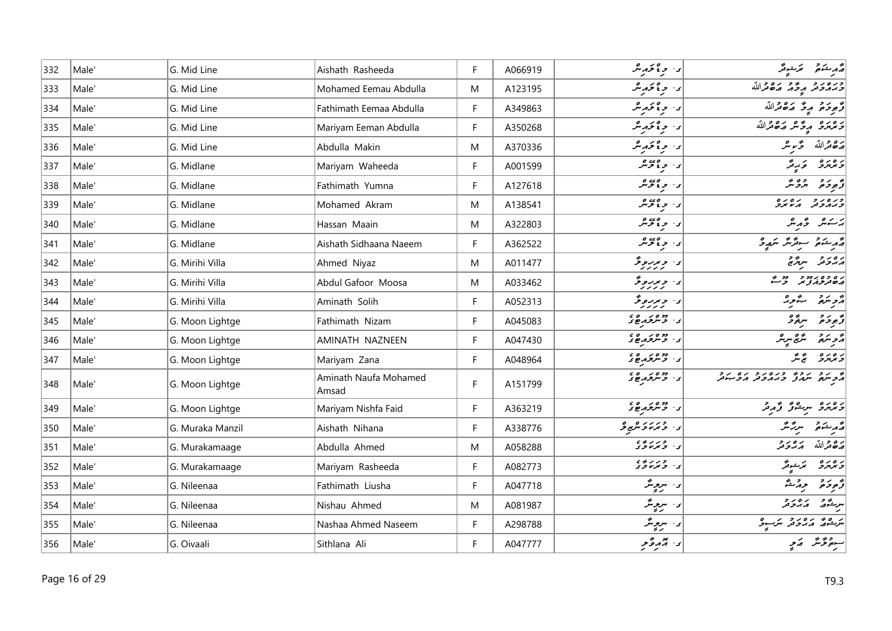| 332 | Male' | G. Mid Line      | Aishath Rasheeda               | F         | A066919 | ى ئەقەم ئىر                                         | أقهر مشكاتهم المتمر المحرور                         |
|-----|-------|------------------|--------------------------------|-----------|---------|-----------------------------------------------------|-----------------------------------------------------|
| 333 | Male' | G. Mid Line      | Mohamed Eemau Abdulla          | ${\sf M}$ | A123195 | ء و ۽ ځه په                                         | وره رو روو ره دالله                                 |
| 334 | Male' | G. Mid Line      | Fathimath Eemaa Abdulla        | F         | A349863 | - و؟ مَرم <sup>م</sup>                              | قُرْمِوحَةً وَحَدَّ وَرَحْقَهُ اللَّهُ              |
| 335 | Male' | G. Mid Line      | Mariyam Eeman Abdulla          | F         | A350268 | <mark>ء<sub>َ حو</sub>ءِ <sub>مح</sub>بر</mark> مٿر | ح برمرد مردَّ مَر مَدْه مَرْاللّه                   |
| 336 | Male' | G. Mid Line      | Abdulla Makin                  | M         | A370336 | ا <sup>ی و</sup> و ؟ ځه په ش                        | رە دالله ځېړمه                                      |
| 337 | Male' | G. Midlane       | Mariyam Waheeda                | F         | A001599 | ى - ج¢ىچىش                                          | رەرە رىدۇ                                           |
| 338 | Male' | G. Midlane       | Fathimath Yumna                | F         | A127618 | ى ئەم ئۇنىر                                         | برو پر<br>ا تو پر پر د                              |
| 339 | Male' | G. Midlane       | Mohamed Akram                  | M         | A138541 | ى - جەنۇش                                           | כנסנכ נסנס<br>כגמכת העינכ                           |
| 340 | Male' | G. Midlane       | Hassan Maain                   | M         | A322803 | ى ئەرەپچە پىر                                       | پرستمبر اوّر میں                                    |
| 341 | Male' | G. Midlane       | Aishath Sidhaana Naeem         | F         | A362522 | ار· جء محمد                                         | أقهر ينكفى السوقر متثر مترور ومحر                   |
| 342 | Male' | G. Mirihi Villa  | Ahmed Niyaz                    | M         | A011477 | ى دېرىرون <sup>ى</sup>                              | أرور و سرگرم                                        |
| 343 | Male' | G. Mirihi Villa  | Abdul Gafoor Moosa             | M         | A033462 | ى دېږېدونځه                                         | ديو مشر<br>ر ٥ ۶ ٥ ٥ ۶ و ۶<br>۵ ک تو فرخر تو مر     |
| 344 | Male' | G. Mirihi Villa  | Aminath Solih                  | F         | A052313 | ى دېږېږونځه<br>مستقبل                               | أقرجتم يتوقه                                        |
| 345 | Male' | G. Moon Lightge  | Fathimath Nizam                | F         | A045083 | ده وره ده ده ور                                     | قَهْ وَحَمْ سِعْدَةٌ                                |
| 346 | Male' | G. Moon Lightge  | AMINATH NAZNEEN                | F         | A047430 | د وه د وه<br>د کشور ه                               | أأدمره<br>سرچ <sub>سرینگر</sub>                     |
| 347 | Male' | G. Moon Lightge  | Mariyam Zana                   | F         | A048964 | ى ئەھرىر ۋە                                         |                                                     |
| 348 | Male' | G. Moon Lightge  | Aminath Naufa Mohamed<br>Amsad | F         | A151799 | ى ئەھەم ھ                                           | ו ני ני ני כנסור ניסיד.<br>הקייטה יימג במהכת הכיית  |
| 349 | Male' | G. Moon Lightge  | Mariyam Nishfa Faid            | F         | A363219 | د وه ده و ده و                                      | كالمحامدة الراعقوق قرمرقر                           |
| 350 | Male' | G. Muraka Manzil | Aishath Nihana                 | F         | A338776 | ى ئەسىر ئەركىمى ئى                                  | ە ئەستىمۇ سرىر ئىگە                                 |
| 351 | Male' | G. Murakamaage   | Abdulla Ahmed                  | ${\sf M}$ | A058288 | و ر و دره و و<br>و از حسین مرکزی                    | بر 2 پر 15<br>مربر <del>5</del> مر<br>  پر ھ قرالله |
| 352 | Male' | G. Murakamaage   | Mariyam Rasheeda               | F         | A082773 | و د رده د<br>د ۱ و بوناوی                           | وجرمرو    مرشوش                                     |
| 353 | Male' | G. Nileenaa      | Fathimath Liusha               | F         | A047718 |                                                     | أقوحكم ورقشة                                        |
| 354 | Male' | G. Nileenaa      | Nishau Ahmed                   | M         | A081987 | ای سرپویٹر<br><u>است</u>                            | سرشگه در بره د و                                    |
| 355 | Male' | G. Nileenaa      | Nashaa Ahmed Naseem            | F         | A298788 | ای سرویتر<br><u>سست</u>                             | بره د برور د بررو                                   |
| 356 | Male' | G. Oivaali       | Sithlana Ali                   | F         | A047777 | ى بە تەرەڭجە<br>ئ                                   | سىۋۇش كەيپ                                          |
|     |       |                  |                                |           |         |                                                     |                                                     |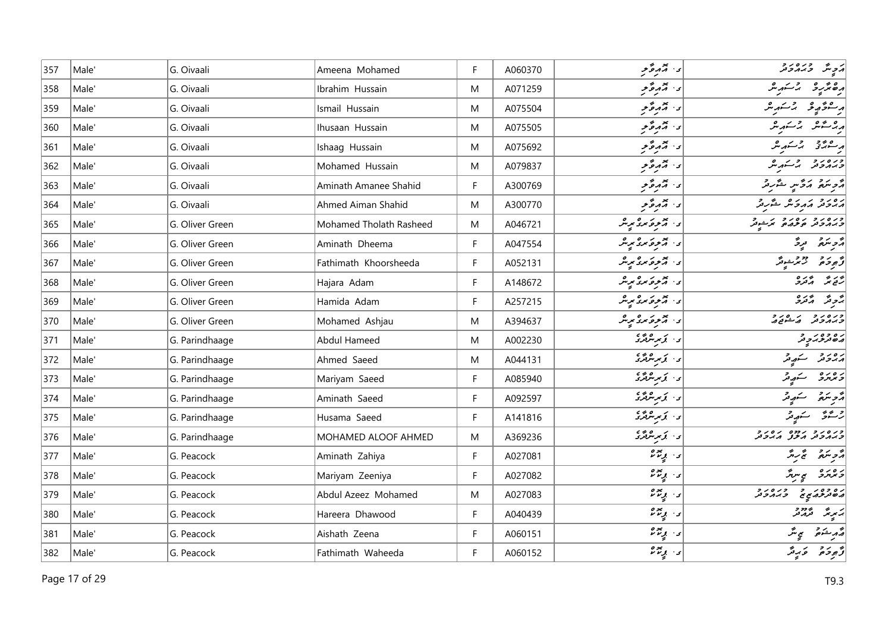| 357 | Male' | G. Oivaali      | Ameena Mohamed          | F | A060370 | ، په پروگو <sub>ل</sub> ه             | أرَحٍ شَرَ وَبَرَ وَجَرَ وَ                                |
|-----|-------|-----------------|-------------------------|---|---------|---------------------------------------|------------------------------------------------------------|
| 358 | Male' | G. Oivaali      | Ibrahim Hussain         | M | A071259 | ، می شهر شمسر<br>مسر                  | رەنزىر ئىسكىر                                              |
| 359 | Male' | G. Oivaali      | Ismail Hussain          | M | A075504 | ، په پروگو <sub>ر</sub>               | وحدثوها المستورها                                          |
| 360 | Male' | G. Oivaali      | Ihusaan Hussain         | M | A075505 | ، په پروگو <sub>ر</sub>               | ورمن المستور المستور المحمد المستر                         |
| 361 | Male' | G. Oivaali      | Ishaag Hussain          | M | A075692 | ، په پوځو                             | و دي د سوړينې                                              |
| 362 | Male' | G. Oivaali      | Mohamed Hussain         | M | A079837 | ى بە ئەرگە                            | ورەرو قاسكەنگ                                              |
| 363 | Male' | G. Oivaali      | Aminath Amanee Shahid   | F | A300769 | ، په پروگو <sub>ر</sub>               | أأوسكم أكرأس كأرقر                                         |
| 364 | Male' | G. Oivaali      | Ahmed Aiman Shahid      | M | A300770 | ، په پېړه تو                          | وأودد وأروش لمقربة                                         |
| 365 | Male' | G. Oliver Green | Mohamed Tholath Rasheed | M | A046721 | <sub>ى</sub> بە ئىرىرى ئىرىش          | 37075 1075 77075                                           |
| 366 | Male' | G. Oliver Green | Aminath Dheema          | F | A047554 | ء <sub>`</sub> مجموع سره سپر          | أأرمر المحمد فرجحه                                         |
| 367 | Male' | G. Oliver Green | Fathimath Khoorsheeda   | F | A052131 | <sub>ى</sub> بە ئىمرىرىمىدى مېرىش     | ۇپرۇپ ئىمىشىڭ                                              |
| 368 | Male' | G. Oliver Green | Hajara Adam             | F | A148672 | <sub>ى</sub> بە ئىرىرى ئىرىش          | ور و دره<br>رقع گرفرو                                      |
| 369 | Male' | G. Oliver Green | Hamida Adam             | F | A257215 | ى بە ئېرەكەر ئاپرىش                   | بَرْدِ مَرْ مَرْدَدُ                                       |
| 370 | Male' | G. Oliver Green | Mohamed Ashjau          | M | A394637 | ى بىم ئۆركە ئەيدىگر                   | وره ر و در در و<br>حدماو در مشوق                           |
| 371 | Male' | G. Parindhaage  | Abdul Hameed            | M | A002230 | <sub>ی</sub> . ب <sub>وک</sub> ریدگرد | د ۱۵۶۵ و د د                                               |
| 372 | Male' | G. Parindhaage  | Ahmed Saeed             | M | A044131 | ، ئۇمرىترى <i>گ</i> رى                | رەرو سەرو                                                  |
| 373 | Male' | G. Parindhaage  | Mariyam Saeed           | F | A085940 | ، ئەسپەتتىرى<br>مەنبەتتىرى            | و ورو سوړتر                                                |
| 374 | Male' | G. Parindhaage  | Aminath Saeed           | F | A092597 | <sub>ى</sub> بۇ برىترىترى             | أرمر<br>سەھەقىر                                            |
| 375 | Male' | G. Parindhaage  | Husama Saeed            | F | A141816 | ء کو موسر مرکز کا                     | رحمش سكهاند                                                |
| 376 | Male' | G. Parindhaage  | MOHAMED ALOOF AHMED     | M | A369236 | ، ئەبرىش <i>قر</i> ى                  | כנסני נדסם נסנים<br><mark>ב</mark> גמבת מי <i>בצ מ</i> גבת |
| 377 | Male' | G. Peacock      | Aminath Zahiya          | F | A027081 | ړ بومړ<br>د په                        | أأرمز المجمارة                                             |
| 378 | Male' | G. Peacock      | Mariyam Zeeniya         | F | A027082 | ۍ بومړه<br>د                          | دەرە پېرىگە                                                |
| 379 | Male' | G. Peacock      | Abdul Azeez Mohamed     | M | A027083 | ړ . پ <sub>ر</sub> مړه<br>په په       | و ره ر و<br>تر پر تر تر<br>גם כפג <sub>וץ</sub> כ          |
| 380 | Male' | G. Peacock      | Hareera Dhawood         | F | A040439 | ړ . پ <sub>ر</sub> مړه<br>په پ        | ر پر پژورو<br>بر پر سرماند                                 |
| 381 | Male' | G. Peacock      | Aishath Zeena           | F | A060151 | ړ بومړ<br>د په                        | ۇرىشقۇ بېش                                                 |
| 382 | Male' | G. Peacock      | Fathimath Waheeda       | F | A060152 | ړ . پ <sub>ر</sub> مړه<br>په پ        | وتجوحكم الحاسية                                            |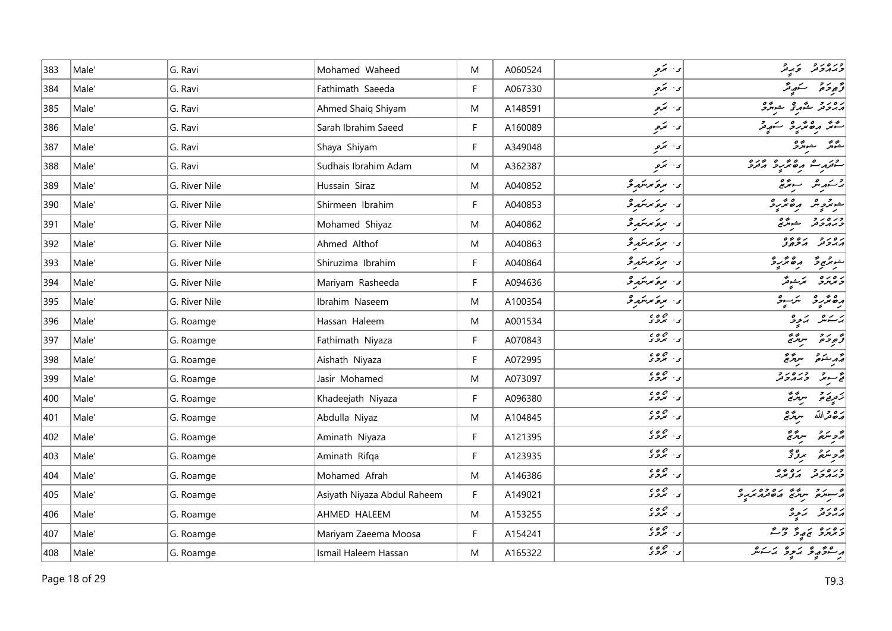| 383 | Male' | G. Ravi       | Mohamed Waheed              | M           | A060524 | (ی- نمکامی                       | ورەرو كەيتر                                                                                                                                                                                                                                                                                                                     |
|-----|-------|---------------|-----------------------------|-------------|---------|----------------------------------|---------------------------------------------------------------------------------------------------------------------------------------------------------------------------------------------------------------------------------------------------------------------------------------------------------------------------------|
| 384 | Male' | G. Ravi       | Fathimath Saeeda            | F           | A067330 | (ی) برگمی                        | قرم تو سورستر                                                                                                                                                                                                                                                                                                                   |
| 385 | Male' | G. Ravi       | Ahmed Shaiq Shiyam          | M           | A148591 | ی نمرکمی                         |                                                                                                                                                                                                                                                                                                                                 |
| 386 | Male' | G. Ravi       | Sarah Ibrahim Saeed         | F.          | A160089 | ائ نمو                           |                                                                                                                                                                                                                                                                                                                                 |
| 387 | Male' | G. Ravi       | Shaya Shiyam                | F           | A349048 | ای نمی                           | $\begin{array}{cc} \circ & \circ & \circ \\ \circ & \circ & \circ \end{array}$                                                                                                                                                                                                                                                  |
| 388 | Male' | G. Ravi       | Sudhais Ibrahim Adam        | M           | A362387 | ای نمرم                          |                                                                                                                                                                                                                                                                                                                                 |
| 389 | Male' | G. River Nile | Hussain Siraz               | M           | A040852 | ى برۇپرىتىرى                     | جر سکھر مگر<br>مرکز کے مرکز کے مرکز کے مرکز کے مرکز کے م                                                                                                                                                                                                                                                                        |
| 390 | Male' | G. River Nile | Shirmeen Ibrahim            | F           | A040853 | ى برۇپرىئەد                      | شويروند وه برده.                                                                                                                                                                                                                                                                                                                |
| 391 | Male' | G. River Nile | Mohamed Shiyaz              | M           | A040862 | ء سموتم مرسكر بحر                | $\begin{array}{cc} 0 & 0 & 0 & 0 \\ 0 & 0 & 0 & 0 \\ 0 & 0 & 0 & 0 \\ 0 & 0 & 0 & 0 \\ 0 & 0 & 0 & 0 \\ 0 & 0 & 0 & 0 \\ 0 & 0 & 0 & 0 \\ 0 & 0 & 0 & 0 \\ 0 & 0 & 0 & 0 \\ 0 & 0 & 0 & 0 \\ 0 & 0 & 0 & 0 \\ 0 & 0 & 0 & 0 \\ 0 & 0 & 0 & 0 & 0 \\ 0 & 0 & 0 & 0 & 0 \\ 0 & 0 & 0 & 0 & 0 \\ 0 & 0 & 0 & 0 & 0 \\ 0 & 0 & 0 &$ |
| 392 | Male' | G. River Nile | Ahmed Althof                | M           | A040863 | ء مرة مرسكر و                    | ره رو ده ده<br>پرسرتر پروپوتو                                                                                                                                                                                                                                                                                                   |
| 393 | Male' | G. River Nile | Shiruzima Ibrahim           | $\mathsf F$ | A040864 | <sub>ى س</sub> وتەرىئىدى         | جويمبرة وكالمربرة                                                                                                                                                                                                                                                                                                               |
| 394 | Male' | G. River Nile | Mariyam Rasheeda            | F           | A094636 | ى برۇپرىتىر ۋ                    | ر ه ر ه<br><del>د</del> بربرگر<br>ىمەرشەقە                                                                                                                                                                                                                                                                                      |
| 395 | Male' | G. River Nile | Ibrahim Naseem              | M           | A100354 | ء موقا مریم و                    | رەنۇرۇ سەرە                                                                                                                                                                                                                                                                                                                     |
| 396 | Male' | G. Roamge     | Hassan Haleem               | M           | A001534 | ړه ده ده<br>د ۶ مرد د            | ىز سەھ ئەيدۇ                                                                                                                                                                                                                                                                                                                    |
| 397 | Male' | G. Roamge     | Fathimath Niyaza            | F           | A070843 | ړه چې ده<br>د امگرد د            | توالله وكالمحمد والمحمدة المحمدة المحمدة المحمدة                                                                                                                                                                                                                                                                                |
| 398 | Male' | G. Roamge     | Aishath Niyaza              | F           | A072995 | ر موه و<br>د . مورو              | وكرمشكم سركرج                                                                                                                                                                                                                                                                                                                   |
| 399 | Male' | G. Roamge     | Jasir Mohamed               | M           | A073097 | ړه ده ده<br>د ۶ مرد د            | و ره ر و<br><i>و پر</i> و تر<br>ئ <sup>ع</sup> سىزىمە                                                                                                                                                                                                                                                                           |
| 400 | Male' | G. Roamge     | Khadeejath Niyaza           | F           | A096380 | ی می و ه<br><sub>م</sub> ی می می | سرگريج<br>تر تعریج حو                                                                                                                                                                                                                                                                                                           |
| 401 | Male' | G. Roamge     | Abdulla Niyaz               | M           | A104845 | ړه چې ده<br>د ۶ مرد د            | برە قراللە<br>سرگرمج                                                                                                                                                                                                                                                                                                            |
| 402 | Male' | G. Roamge     | Aminath Niyaza              | F           | A121395 | د . چې د .<br>د . مرد د          | و څخه سرچ<br>سرپڙيج                                                                                                                                                                                                                                                                                                             |
| 403 | Male' | G. Roamge     | Aminath Rifga               | F           | A123935 | د . چې د .<br>د . مرو د          | ړې په پروتخ                                                                                                                                                                                                                                                                                                                     |
| 404 | Male' | G. Roamge     | Mohamed Afrah               | M           | A146386 | $\frac{c}{c}$                    | כנסנכ נספס<br>כגהכת הציבה                                                                                                                                                                                                                                                                                                       |
| 405 | Male' | G. Roamge     | Asiyath Niyaza Abdul Raheem | $\mathsf F$ | A149021 | <br>  د ، مرد د                  | ה - יותם ייתה בסתות בגם                                                                                                                                                                                                                                                                                                         |
| 406 | Male' | G. Roamge     | AHMED HALEEM                | M           | A153255 | ر موه و<br>د . مورو              | أرور وبالمحمد                                                                                                                                                                                                                                                                                                                   |
| 407 | Male' | G. Roamge     | Mariyam Zaeema Moosa        | $\mathsf F$ | A154241 | $\frac{c}{c}$                    | ג 2010 ה ביל                                                                                                                                                                                                                                                                                                                    |
| 408 | Male' | G. Roamge     | Ismail Haleem Hassan        | M           | A165322 | ړه چې ده<br>د ۶ مرد د            | ر مؤثر و بر ده بر ده.                                                                                                                                                                                                                                                                                                           |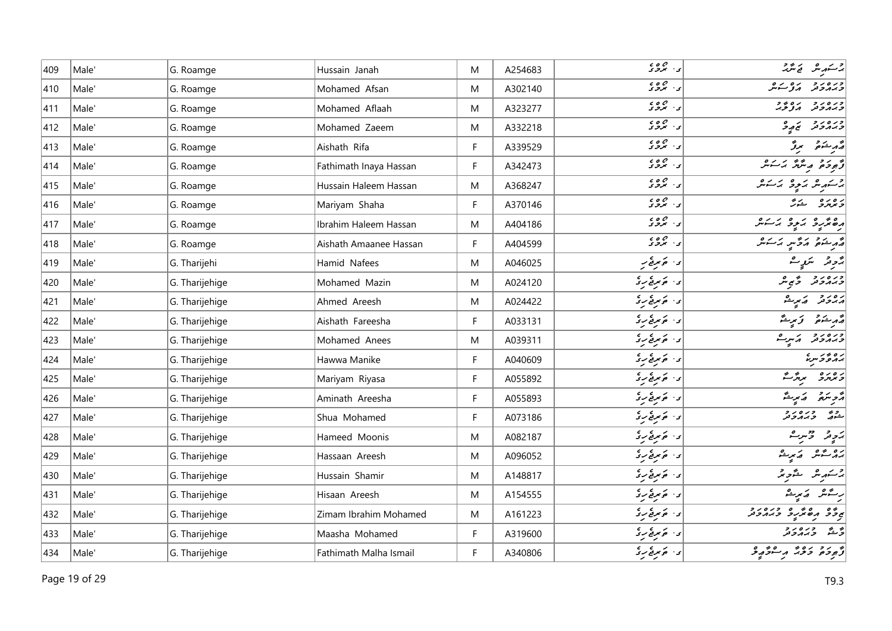| 409 | Male' | G. Roamge      | Hussain Janah          | M  | A254683 | ر مه ه ه و <i>و</i>                         | ير سكر مثل التاريخ متركز               |
|-----|-------|----------------|------------------------|----|---------|---------------------------------------------|----------------------------------------|
| 410 | Male' | G. Roamge      | Mohamed Afsan          | M  | A302140 | ک کمی دی                                    | ورەرو رەپ                              |
| 411 | Male' | G. Roamge      | Mohamed Aflaah         | M  | A323277 | ک میگری                                     | כנסני נסשי<br>כגובת ולבב               |
| 412 | Male' | G. Roamge      | Mohamed Zaeem          | M  | A332218 | ى بوە ،                                     | כנסנג הפ                               |
| 413 | Male' | G. Roamge      | Aishath Rifa           | F  | A339529 | د . ه ه ه ه<br>د . مرو د                    | و<br>د گرمشوه<br>د<br>ىجواقم           |
| 414 | Male' | G. Roamge      | Fathimath Inaya Hassan | F  | A342473 | $\frac{c}{c}$                               | רב בבים היית גבית                      |
| 415 | Male' | G. Roamge      | Hussain Haleem Hassan  | M  | A368247 | ر ص د ج<br>د ۰ مرو د                        | چە سەر بىر بەيدى بەسەنلە               |
| 416 | Male' | G. Roamge      | Mariyam Shaha          | F  | A370146 | د . ه ه ه و <b>و</b>                        | رەرە شەر                               |
| 417 | Male' | G. Roamge      | Ibrahim Haleem Hassan  | M  | A404186 | ړه چې ده<br>د ۶ مرد د                       | مەھەر ئەر ئەر ئەسىر                    |
| 418 | Male' | G. Roamge      | Aishath Amaanee Hassan | F  | A404599 | ک میگری                                     | وأرشكم وكاس وكالمر                     |
| 419 | Male' | G. Tharijehi   | Hamid Nafees           | M  | A046025 | ی که موسیح پ                                | تزوتر التربيء                          |
| 420 | Male' | G. Tharijehige | Mohamed Mazin          | M  | A024120 | ى بە ھۇمرى<br>ئ                             | ورەرو ۇېر                              |
| 421 | Male' | G. Tharijehige | Ahmed Areesh           | M  | A024422 | ى مىمى كى                                   | رەرو كەيدى                             |
| 422 | Male' | G. Tharijehige | Aishath Fareesha       | F  | A033131 | ۍ په کاري<br>د کام کاري                     | وكركو وترك                             |
| 423 | Male' | G. Tharijehige | Mohamed Anees          | M  | A039311 | ی کو مرقع ہری<br>مستقب                      | ورەرو كەرب                             |
| 424 | Male' | G. Tharijehige | Hawwa Manike           | F  | A040609 | ی که محمد محاری<br>ی که محمد مح             | رە بەر بەر<br>بەھ بى سرىد              |
| 425 | Male' | G. Tharijehige | Mariyam Riyasa         | F  | A055892 | ى بە ھەمرىقى س <sup>ى</sup>                 | د وړه مرمر شو                          |
| 426 | Male' | G. Tharijehige | Aminath Areesha        | F. | A055893 | ى پە ھەمرىقى سى                             | أأروبتهم أأتمي وأستنبه                 |
| 427 | Male' | G. Tharijehige | Shua Mohamed           | F  | A073186 | ى پە ھەمرىقى سى                             | وه وره رو<br>شو <sub>هه</sub> وبردونر  |
| 428 | Male' | G. Tharijehige | Hameed Moonis          | M  | A082187 | ی کو مرقع ہری<br>مستقب                      | پر <sub>و</sub> یر وسرے                |
| 429 | Male' | G. Tharijehige | Hassaan Areesh         | M  | A096052 | ی کو مرقع ہری<br>مستقب                      | ره ده و <sub>کم</sub> رث               |
| 430 | Male' | G. Tharijehige | Hussain Shamir         | M  | A148817 | ى ، مۇمرىئ <i>ى ، ئ</i>                     | برسكريش الحقوبة                        |
| 431 | Male' | G. Tharijehige | Hisaan Areesh          | M  | A154555 | ى بە ھۇمرىقى س <sup>ى</sup><br>مەسىم مەسىرى | رىشش كەيرىش                            |
| 432 | Male' | G. Tharijehige | Zimam Ibrahim Mohamed  | M  | A161223 | ى پە ھەمرىقى سى                             | 20012 0 200 025                        |
| 433 | Male' | G. Tharijehige | Maasha Mohamed         | F  | A319600 | ى سىم ئىرقى سىتى<br>ئ                       | و ر ه ر د<br>تر پروتر<br>ر پیشہ<br>مرگ |
| 434 | Male' | G. Tharijehige | Fathimath Malha Ismail | F  | A340806 | ى سىم ئىرقى سىمى<br>ئ                       | ومجمع ولحدثه من المعتمدة               |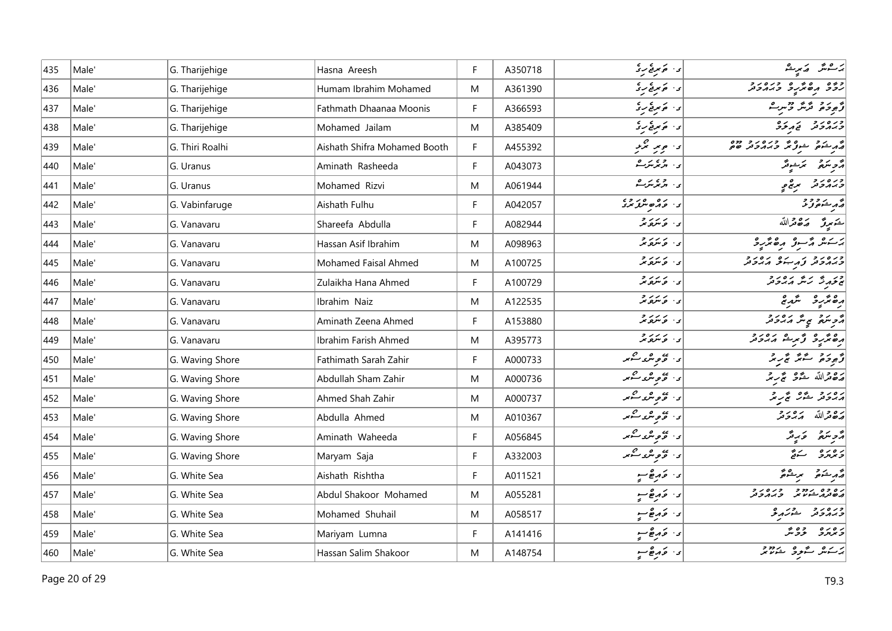| 435 | Male' | G. Tharijehige  | Hasna Areesh                 | F         | A350718 | ى سىم ئىرقى سىمى<br>ئ               | پر شر شمیرے                                                                                          |
|-----|-------|-----------------|------------------------------|-----------|---------|-------------------------------------|------------------------------------------------------------------------------------------------------|
| 436 | Male' | G. Tharijehige  | Humam Ibrahim Mohamed        | ${\sf M}$ | A361390 | ى پە ھەمرىقى سى                     | 22012 22000 220                                                                                      |
| 437 | Male' | G. Tharijehige  | Fathmath Dhaanaa Moonis      | F         | A366593 | ء · حَو مرقع سرءٌ                   | و الله و حريم الله الله و حريب الله عليه الله عليه و حريب الله عليه الله عليه الله عليه الله عليه ال |
| 438 | Male' | G. Tharijehige  | Mohamed Jailam               | M         | A385409 | ء · حَو سرچ سرچ<br>-                |                                                                                                      |
| 439 | Male' | G. Thiri Roalhi | Aishath Shifra Mohamed Booth | F         | A455392 |                                     | د در ده دره دره دره<br>په شوی شوز پر د بر دره مو                                                     |
| 440 | Male' | G. Uranus       | Aminath Rasheeda             | F         | A043073 | ى سىر بىر بىر ك                     | أزويتمو أترجون                                                                                       |
| 441 | Male' | G. Uranus       | Mohamed Rizvi                | ${\sf M}$ | A061944 | ى بەر بۇر ھ                         | وره دو برجم                                                                                          |
| 442 | Male' | G. Vabinfaruge  | Aishath Fulhu                | F         | A042057 | ی که هم هم در ده<br>د که هم هم کرده | ا په مه شوې د د<br>لرمونستونو لر                                                                     |
| 443 | Male' | G. Vanavaru     | Shareefa Abdulla             | F         | A082944 | ى بە ئەتتۈنمى                       | شَمَعِي <i>وَتْ 1 مَا ھا</i> تَداللّٰه                                                               |
| 444 | Male' | G. Vanavaru     | Hassan Asif Ibrahim          | ${\sf M}$ | A098963 | ى بە ئەتھەتمە                       | برسكر ومسوفه وه بمربرد                                                                               |
| 445 | Male' | G. Vanavaru     | Mohamed Faisal Ahmed         | M         | A100725 | ى ئەشھەتلى                          | ورەرد زېر بەبۇ مەدد                                                                                  |
| 446 | Male' | G. Vanavaru     | Zulaikha Hana Ahmed          | F         | A100729 | ى بە ئەتتۈنمى                       | ج څه د څه کره پر د ور                                                                                |
| 447 | Male' | G. Vanavaru     | Ibrahim Naiz                 | M         | A122535 | ى بە ئەتكەنتى                       | وهتر و شرح                                                                                           |
| 448 | Male' | G. Vanavaru     | Aminath Zeena Ahmed          | F         | A153880 | ى بە ئەتكەنگە                       | و<br>وفريدة بالمستخدم وبالمستخدم                                                                     |
| 449 | Male' | G. Vanavaru     | Ibrahim Farish Ahmed         | ${\sf M}$ | A395773 | ى بە ئەترەپى                        | رەپرىدى ئېرىشى مەدرە                                                                                 |
| 450 | Male' | G. Waving Shore | Fathimath Sarah Zahir        | F         | A000733 | ى ئۇمۇمىگەر                         | أزُودَهُ سُنَتَرُ لِمَحْرِ لَمْ                                                                      |
| 451 | Male' | G. Waving Shore | Abdullah Sham Zahir          | ${\sf M}$ | A000736 | ى ئىچ مەشرىر شىمىر<br>مەنبەل مەسىر  | رە قراللە ھەم ئىر بر                                                                                 |
| 452 | Male' | G. Waving Shore | Ahmed Shah Zahir             | M         | A000737 | ى ئۇمۇش <sub>ى</sub> ر ھىمىر        | رەرو شىر كەرىم                                                                                       |
| 453 | Male' | G. Waving Shore | Abdulla Ahmed                | ${\sf M}$ | A010367 | ى ئۇمۇمى <i>گە</i> س <sup>ى</sup> م | رەقراللە يەمرە                                                                                       |
| 454 | Male' | G. Waving Shore | Aminath Waheeda              | F         | A056845 | ى ھوسىي ھىسى<br>ئ                   | أأزحر سكرة وألمح وأبادتكر                                                                            |
| 455 | Male' | G. Waving Shore | Maryam Saja                  | F         | A332003 | ى ئۇمۇمىرىمى<br>ئ                   | ر ه ر ه<br><del>د</del> بربرگ<br>سەنى                                                                |
| 456 | Male' | G. White Sea    | Aishath Rishtha              | F         | A011521 | ى غەرغ ب                            | وكرم شكوكم المحرم والمحر                                                                             |
| 457 | Male' | G. White Sea    | Abdul Shakoor Mohamed        | ${\sf M}$ | A055281 | ى ئۇرغۇپ                            | ره وه ردد و دره رو<br>په هر پر شونو سر در کرد                                                        |
| 458 | Male' | G. White Sea    | Mohamed Shuhail              | ${\sf M}$ | A058517 | ى ئۇم ھېسىم                         | ورەرو شەركەنى                                                                                        |
| 459 | Male' | G. White Sea    | Mariyam Lumna                | F         | A141416 | ى ئۇم ھەسىر                         | رەرە دەپر                                                                                            |
| 460 | Male' | G. White Sea    | Hassan Salim Shakoor         | M         | A148754 | ى ئۇرغۇپ                            |                                                                                                      |
|     |       |                 |                              |           |         |                                     |                                                                                                      |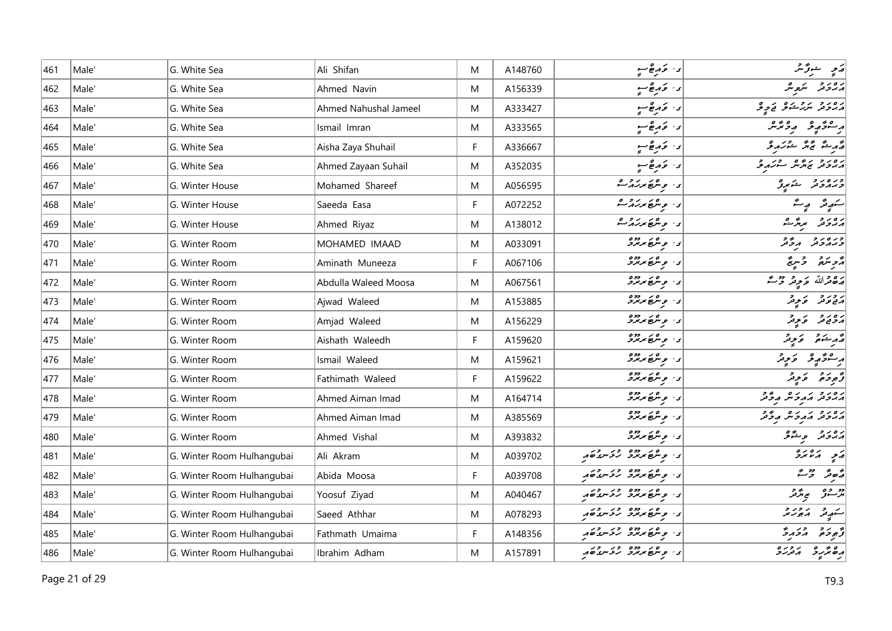| 461 | Male' | G. White Sea               | Ali Shifan            | M         | A148760 | ی عَهوِهٔ پ                       | أەكىم سىرۇش                      |
|-----|-------|----------------------------|-----------------------|-----------|---------|-----------------------------------|----------------------------------|
| 462 | Male' | G. White Sea               | Ahmed Navin           | ${\sf M}$ | A156339 | ى ئۇرغۇپ                          | أرور و سره شر                    |
| 463 | Male' | G. White Sea               | Ahmed Nahushal Jameel | M         | A333427 | $\frac{1}{\frac{1}{\sqrt{2}}}$    | رەر دىر ئىكى ق ج                 |
| 464 | Male' | G. White Sea               | Ismail Imran          | M         | A333565 | ى ئۇم ھېسىم                       | ر عۇرپۇ رومۇش                    |
| 465 | Male' | G. White Sea               | Aisha Zaya Shuhail    | F         | A336667 | ی غږم که په                       | مەر شەكىر ئىق ئىر                |
| 466 | Male' | G. White Sea               | Ahmed Zayaan Suhail   | M         | A352035 | ى ئۇرغۇپ                          | גפג היות המגב                    |
| 467 | Male' | G. Winter House            | Mohamed Shareef       | ${\sf M}$ | A056595 | ى وپىرى برىر ئە                   | ورەرو شەرۇ                       |
| 468 | Male' | G. Winter House            | Saeeda Easa           | F         | A072252 | ى بە ھەتكە ئەرگەرگە ك             | سکھی تھی میں سگ                  |
| 469 | Male' | G. Winter House            | Ahmed Riyaz           | M         | A138012 | ى بە ھەتكە ئەرگەرگە ك             | رەرد پەرت                        |
| 470 | Male' | G. Winter Room             | MOHAMED IMAAD         | M         | A033091 | ى وشھىرىدە                        | כנסנכ בכת<br>כ <i>ג</i> ובכת וכת |
| 471 | Male' | G. Winter Room             | Aminath Muneeza       | F.        | A067106 | ی و شرکامربرده                    | أأزوبترة وتحسي                   |
| 472 | Male' | G. Winter Room             | Abdulla Waleed Moosa  | M         | A067561 | ى وسطى مرمزد                      | رە قەللە ئەربىر ترىئە            |
| 473 | Male' | G. Winter Room             | Ajwad Waleed          | M         | A153885 | ی و شرکامربرد                     | پرورو کے مومر                    |
| 474 | Male' | G. Winter Room             | Amjad Waleed          | M         | A156229 | ى وشھىرىردە                       | پرویر تر تر تر                   |
| 475 | Male' | G. Winter Room             | Aishath Waleedh       | F         | A159620 | ى وشھىرىردە                       | پژوڪو ۽ وَجِهْر                  |
| 476 | Male' | G. Winter Room             | Ismail Waleed         | M         | A159621 | ى وشھىرىردە                       | پرسشو گھر گھر گھر جو پر          |
| 477 | Male' | G. Winter Room             | Fathimath Waleed      | F         | A159622 | ی و شرکامربرده                    | وَّجِعَةٍ وَمِعْهِ               |
| 478 | Male' | G. Winter Room             | Ahmed Aiman Imad      | M         | A164714 | ی ۔ صریح مرمرو                    | גפני ג'קביל קיביל                |
| 479 | Male' | G. Winter Room             | Ahmed Aiman Imad      | M         | A385569 | و· ويتوضع مرمرد                   | أيرو و بر بر بر برو تر           |
| 480 | Male' | G. Winter Room             | Ahmed Vishal          | M         | A393832 | ی ۔ حِ سرچ <sub>مرمر</sub> و<br>ی | برەر وشگو                        |
| 481 | Male' | G. Winter Room Hulhangubai | Ali Akram             | M         | A039702 | ى ويتوجد بروه ركز مرد قار         |                                  |
| 482 | Male' | G. Winter Room Hulhangubai | Abida Moosa           | F         | A039708 | ى ويتوكا مرجزة كركم مركزه م       | أرموش وحمد                       |
| 483 | Male' | G. Winter Room Hulhangubai | Yoosuf Ziyad          | M         | A040467 | ى وشەممە « ئىسلام                 | لترمشو<br>ىم پر گر               |
| 484 | Male' | G. Winter Room Hulhangubai | Saeed Athhar          | M         | A078293 | ى وتركا مرمزد ركز مرد قار         | سەر قىر ئەجرىر                   |
| 485 | Male' | G. Winter Room Hulhangubai | Fathmath Umaima       | F         | A148356 | ى وشھىرىدى ئىكسىگە                | أزودكم المزارد                   |
| 486 | Male' | G. Winter Room Hulhangubai | Ibrahim Adham         | ${\sf M}$ | A157891 | و وسر دوه ورسود ده.               | أرە ئۆر ئەزرە                    |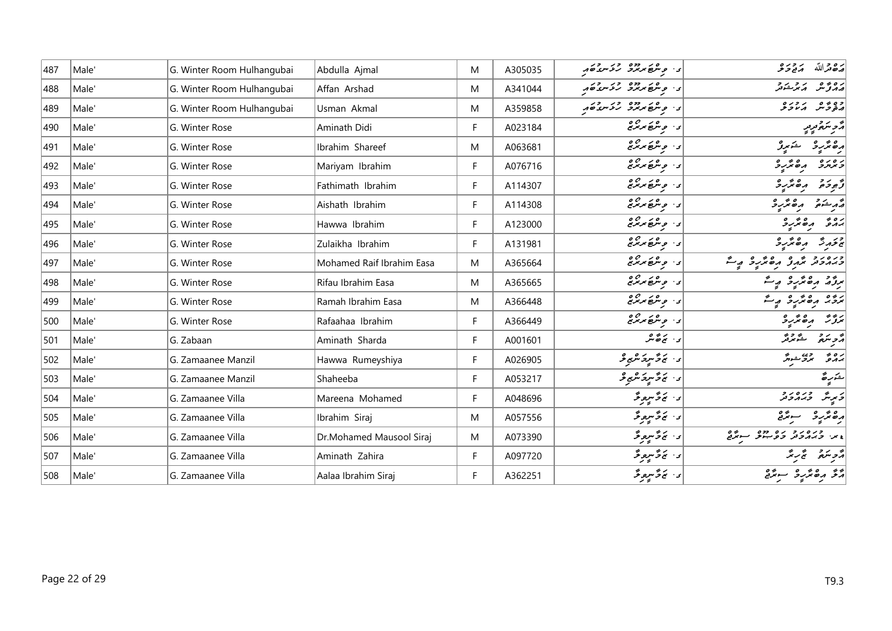| 487 | Male' | G. Winter Room Hulhangubai | Abdulla Ajmal             | M  | A305035 | و وسریح مرمرد در در در          | پر <b>ص</b> حرالله<br>بروزو                                        |
|-----|-------|----------------------------|---------------------------|----|---------|---------------------------------|--------------------------------------------------------------------|
| 488 | Male' | G. Winter Room Hulhangubai | Affan Arshad              | M  | A341044 | ى وشھىرىدى رىمىدى ھەر           | ەرەپ ئەربىر                                                        |
| 489 | Male' | G. Winter Room Hulhangubai | Usman Akmal               | M  | A359858 | ى وشھىرىدو ئركىسى ھەر           | و و بو تر<br>مرفو څرنگر<br>ەردو                                    |
| 490 | Male' | G. Winter Rose             | Aminath Didi              | F  | A023184 | ى وىرىھىرىرى                    | پژ <sub>خر سک</sub> چ <sub>توپ</sub> ور                            |
| 491 | Male' | G. Winter Rose             | Ibrahim Shareef           | M  | A063681 | ی ۔ موسمٰ یوسمبریح              | ەر ھەترىرى<br>ر<br>ڪ مرو <sup>0</sup>                              |
| 492 | Male' | G. Winter Rose             | Mariyam Ibrahim           | F  | A076716 | ی و شرکه مرس                    | ر ه ر ه<br><del>ر</del> بربر ژ<br>$\circ$ $\circ$ $\circ$<br>フンメめハ |
| 493 | Male' | G. Winter Rose             | Fathimath Ibrahim         | F  | A114307 | ى پىرتىق بىر بىرى               | و په پر د<br>フンメめハ                                                 |
| 494 | Male' | G. Winter Rose             | Aishath Ibrahim           | F  | A114308 | ى پىرىقى ئىرتىرى                | لقرمر مشوحو<br>フンメめハ                                               |
| 495 | Male' | G. Winter Rose             | Hawwa Ibrahim             | F  | A123000 | ی و شرکه مرس                    | رە پە<br>مەھمەرد                                                   |
| 496 | Male' | G. Winter Rose             | Zulaikha Ibrahim          | F  | A131981 | ى پىرتقى ئىرتىرى                | $\circ$ $\circ$ $\circ$<br>تح محرمر جح<br>フンメめハ                    |
| 497 | Male' | G. Winter Rose             | Mohamed Raif Ibrahim Easa | M  | A365664 | ى موسىھ بىر بىرى                | ورەرد بر و و ھېرگە پەت                                             |
| 498 | Male' | G. Winter Rose             | Rifau Ibrahim Easa        | M  | A365665 | ر و مرغ مربر م                  | برژه رهتر د په                                                     |
| 499 | Male' | G. Winter Rose             | Ramah Ibrahim Easa        | M  | A366448 | ی ۔ موسمٰ یوسمبریح              | $\frac{2}{3}$                                                      |
| 500 | Male' | G. Winter Rose             | Rafaahaa Ibrahim          | F  | A366449 | ى وېترى برخ                     | مەھمەرد<br> پروژ                                                   |
| 501 | Male' | G. Zabaan                  | Aminath Sharda            | F  | A001601 | ى بى ئەر                        | ے محرکر<br>أترح سرو                                                |
| 502 | Male' | G. Zamaanee Manzil         | Hawwa Rumeyshiya          | F  | A026905 | ى ئۇ ئېرى ئىر ئىر               | رەپچ<br>و <sup>ری</sup> شہ پر                                      |
| 503 | Male' | G. Zamaanee Manzil         | Shaheeba                  | F  | A053217 | ى ئۇ ئور ئەشرىر ئى              | شەرى                                                               |
| 504 | Male' | G. Zamaanee Villa          | Mareena Mohamed           | F. | A048696 | سى ئىم ئەس <i>بە</i> ئى         | و ره ر د<br><i>د ب</i> رگرفر<br>  ئەسمەتىر                         |
| 505 | Male' | G. Zamaanee Villa          | Ibrahim Siraj             | M  | A057556 | ئ ئىم ئۇ سرەپە ئى               | ەر ھەتئەر <i>ج</i><br>مسسوبحري                                     |
| 506 | Male' | G. Zamaanee Villa          | Dr.Mohamed Mausool Siraj  | M  | A073390 | <br> د· ئۇقرىبرە ق              |                                                                    |
| 507 | Male' | G. Zamaanee Villa          | Aminath Zahira            | F  | A097720 | ئەسىم ئ <sup>ى</sup> ر بىرىدىگە | أأرمز المجاريم                                                     |
| 508 | Male' | G. Zamaanee Villa          | Aalaa Ibrahim Siraj       | F  | A362251 | ى ئىچ ئېرو چ                    | أثمؤ وهتربرو سيتمع                                                 |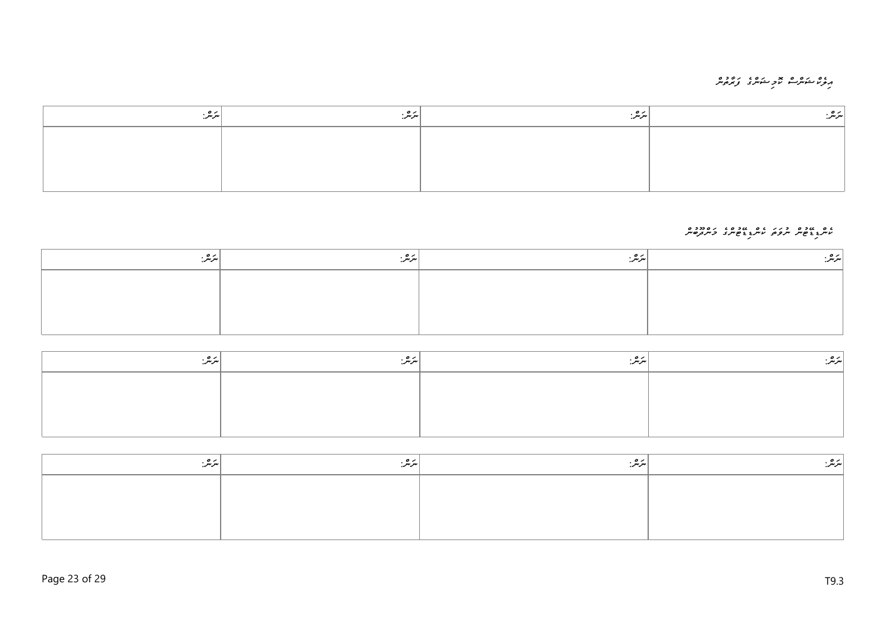## *w7qAn8m? sCw7mRo>u; wEw7mRw;sBo<*

| ' مرمر | 'يئرىثر: |
|--------|----------|
|        |          |
|        |          |
|        |          |

## *w7q9r@w7m> sCw7qHtFoFw7s; mAm=q7 w7qHtFoFw7s;*

| ىر تە | $\mathcal{O} \times$<br>$\sim$ | $\sim$<br>. . | لترنثر |
|-------|--------------------------------|---------------|--------|
|       |                                |               |        |
|       |                                |               |        |
|       |                                |               |        |

| انترنثر: | $^{\circ}$ | يبرهر | $^{\circ}$<br>سرسر |
|----------|------------|-------|--------------------|
|          |            |       |                    |
|          |            |       |                    |
|          |            |       |                    |

| ىرتىر: | 。<br>سر سر | .,<br>مرسر |
|--------|------------|------------|
|        |            |            |
|        |            |            |
|        |            |            |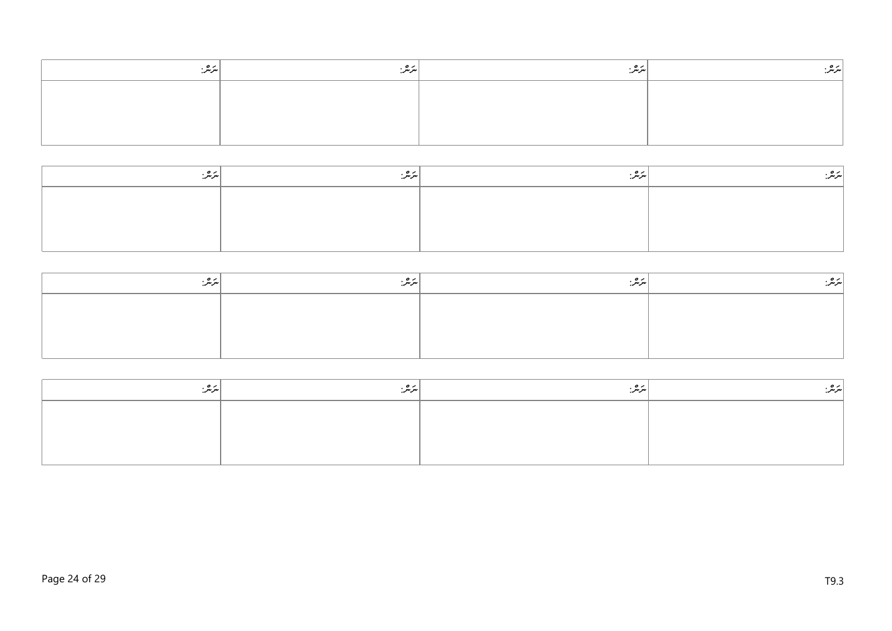| يزهر | $^{\circ}$ | ىئرىتر: |  |
|------|------------|---------|--|
|      |            |         |  |
|      |            |         |  |
|      |            |         |  |

| <sup>.</sup> سرسر. |  |
|--------------------|--|
|                    |  |
|                    |  |
|                    |  |

| ىئرىتر. | $\sim$ | ا بر هه. | لىرىش |
|---------|--------|----------|-------|
|         |        |          |       |
|         |        |          |       |
|         |        |          |       |

| 。<br>مرس. | $\overline{\phantom{a}}$<br>مر مىر | يتريثر |
|-----------|------------------------------------|--------|
|           |                                    |        |
|           |                                    |        |
|           |                                    |        |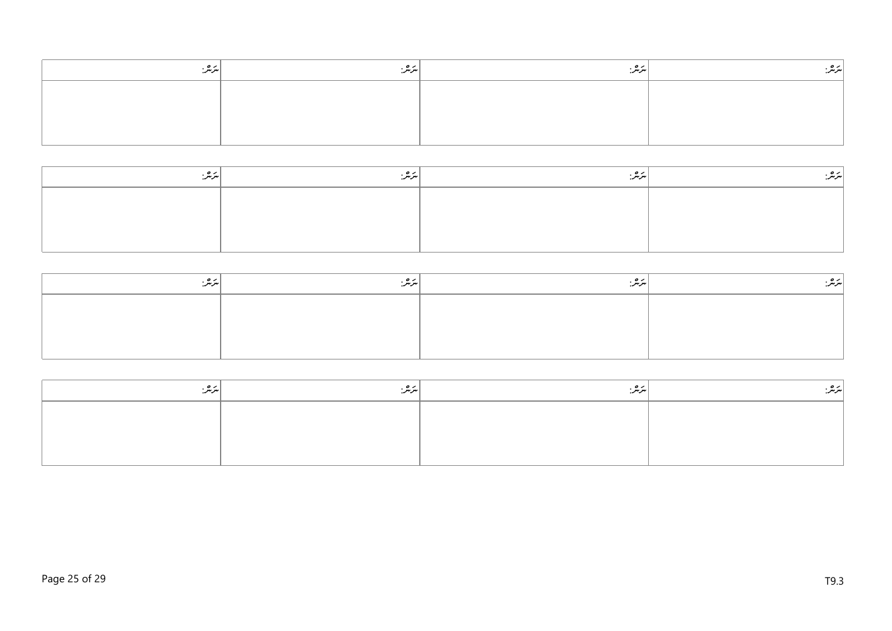| ير هو . | $\overline{\phantom{a}}$ | يرمر | اير هنه. |
|---------|--------------------------|------|----------|
|         |                          |      |          |
|         |                          |      |          |
|         |                          |      |          |

| ىر تىر: | $\circ$ $\sim$<br>" سرسر . | يترمير | o . |
|---------|----------------------------|--------|-----|
|         |                            |        |     |
|         |                            |        |     |
|         |                            |        |     |

| 'تترنثر: | 。<br>,,,, |  |
|----------|-----------|--|
|          |           |  |
|          |           |  |
|          |           |  |

|  | . ه |
|--|-----|
|  |     |
|  |     |
|  |     |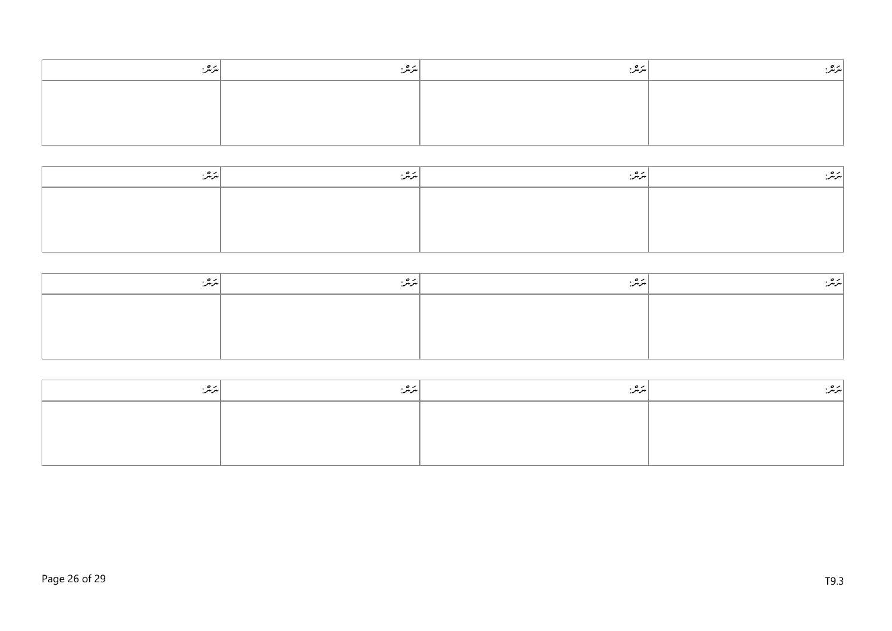| ير هو . | $\overline{\phantom{a}}$ | يرمر | اير هنه. |
|---------|--------------------------|------|----------|
|         |                          |      |          |
|         |                          |      |          |
|         |                          |      |          |

| ىر تىر: | $\circ$ $\sim$<br>" سرسر . | يترمير | o . |
|---------|----------------------------|--------|-----|
|         |                            |        |     |
|         |                            |        |     |
|         |                            |        |     |

| 'تترنثر: | 。<br>,,,, |  |
|----------|-----------|--|
|          |           |  |
|          |           |  |
|          |           |  |

|  | . ه |
|--|-----|
|  |     |
|  |     |
|  |     |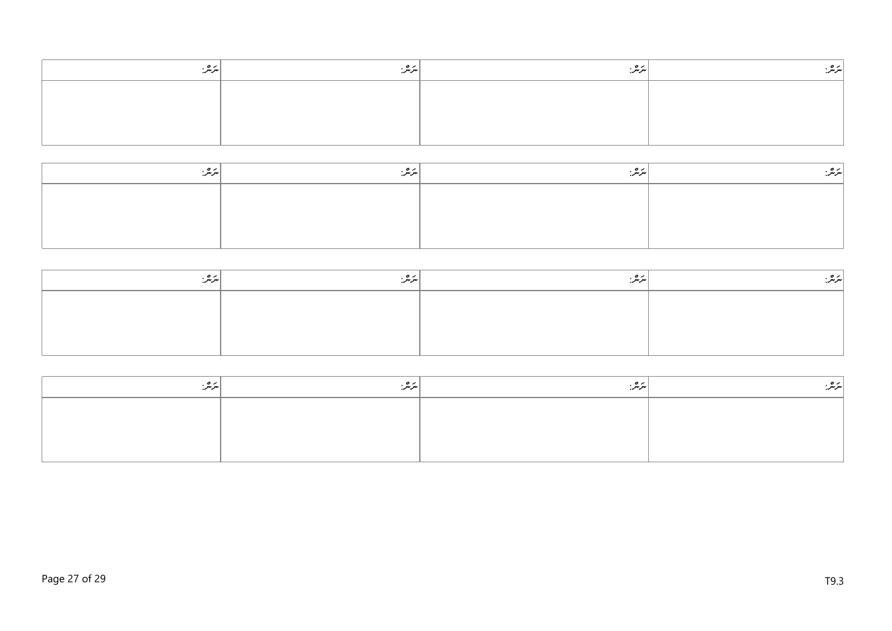| $\cdot$ | ο. | $\frac{\circ}{\cdot}$ | $\sim$<br>سرسر |
|---------|----|-----------------------|----------------|
|         |    |                       |                |
|         |    |                       |                |
|         |    |                       |                |

| ايرعر: | ر ه<br>. . |  |
|--------|------------|--|
|        |            |  |
|        |            |  |
|        |            |  |

| بر ه | 。 | $\sim$<br>َ سومس. |  |
|------|---|-------------------|--|
|      |   |                   |  |
|      |   |                   |  |
|      |   |                   |  |

| 。<br>. س | ىرىىر |  |
|----------|-------|--|
|          |       |  |
|          |       |  |
|          |       |  |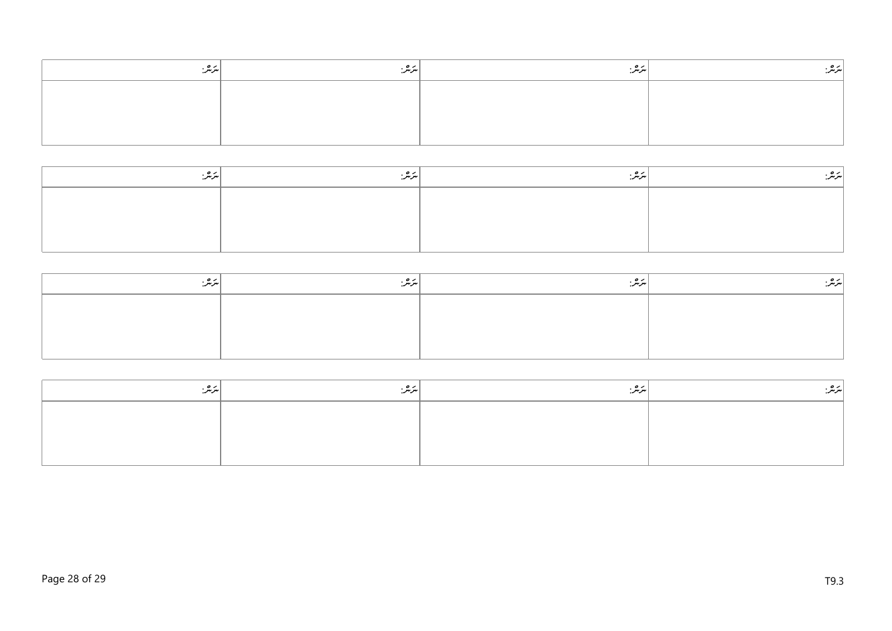| ير هو . | $\overline{\phantom{a}}$ | يرمر | لتزمثن |
|---------|--------------------------|------|--------|
|         |                          |      |        |
|         |                          |      |        |
|         |                          |      |        |

| ىر تىر: | $\circ$ $\sim$<br>" سرسر . | يترمير | o . |
|---------|----------------------------|--------|-----|
|         |                            |        |     |
|         |                            |        |     |
|         |                            |        |     |

| 'تترنثر: | 。<br>,,,, |  |
|----------|-----------|--|
|          |           |  |
|          |           |  |
|          |           |  |

|  | . ه |
|--|-----|
|  |     |
|  |     |
|  |     |